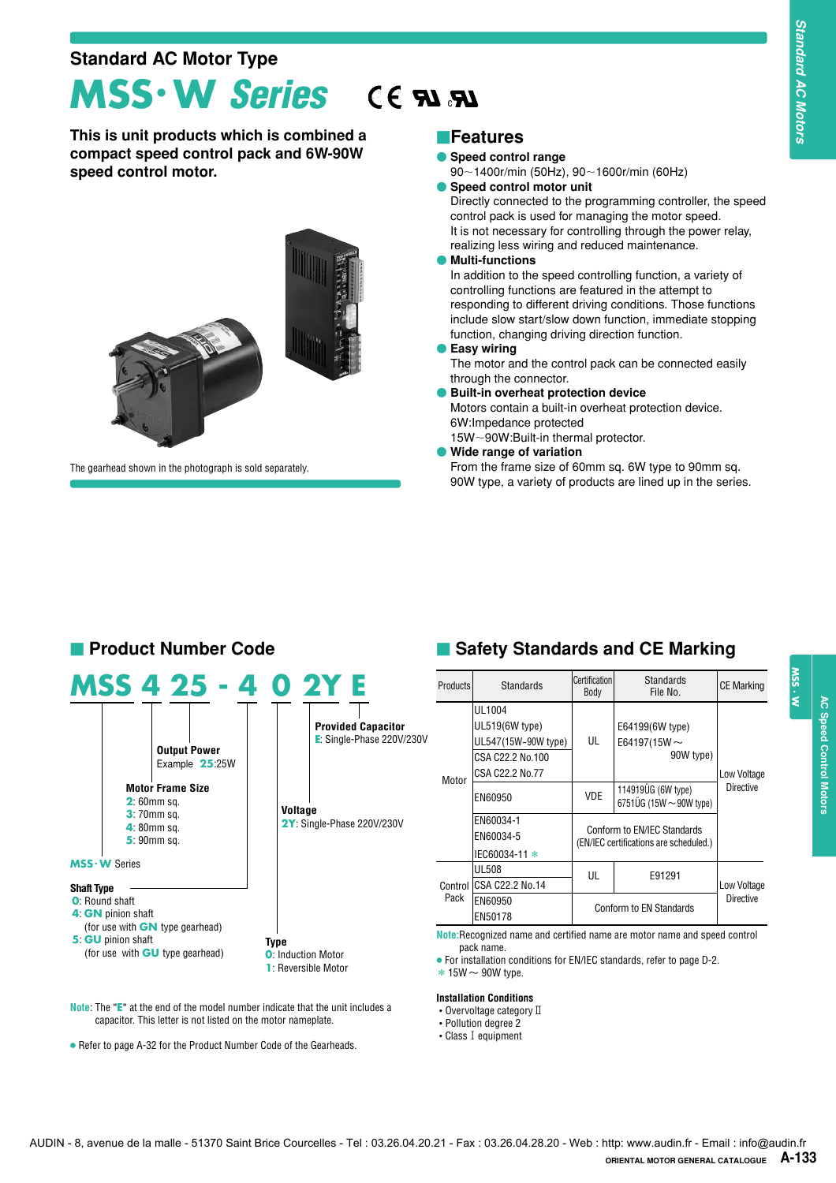#### **Standard AC Motor Type**

### **MSS**・**W** *Series* c

**This is unit products which is combined a compact speed control pack and 6W-90W speed control motor.**



The gearhead shown in the photograph is sold separately.

#### **Features**

- **Speed control range**
- 90-1400r/min (50Hz), 90-1600r/min (60Hz)
- **Speed control motor unit**

#### **Product Number Code**

|                   | MSS 4 25 - 4 0 2Y E                                                                                                                                  |      |                                                         |                                                                                         |
|-------------------|------------------------------------------------------------------------------------------------------------------------------------------------------|------|---------------------------------------------------------|-----------------------------------------------------------------------------------------|
|                   | <b>Output Power</b><br>Example 25:25W<br><b>Motor Frame Size</b><br>$2:60$ mm sq.<br><b>3:</b> 70mm sq.<br>$4:80$ mm sq.<br>$5:90$ mm sq.            |      | Voltage                                                 | <b>Provided Capacitor</b><br>$E$ : Single-Phase 220V/230V<br>2Y: Single-Phase 220V/230V |
|                   | MSS · W Series                                                                                                                                       |      |                                                         |                                                                                         |
| <b>Shaft Type</b> | <b>O</b> : Round shaft<br>4 GN pinion shaft<br>(for use with <b>GN</b> type gearhead)<br>5 GU pinion shaft<br>(for use with <b>GU</b> type gearhead) | Type | <b>O:</b> Induction Motor<br><b>1:</b> Reversible Motor |                                                                                         |

**Note**: The "**E**" at the end of the model number indicate that the unit includes a capacitor. This letter is not listed on the motor nameplate.

● Refer to page A-32 for the Product Number Code of the Gearheads.

#### **E** Safety Standards and CE Marking

| LR, L                        | <b>■Features</b>                                                                                                                                                                                                                                                                                                                                                                                                                                                       |                      |                                                                                                                                                                                                                                                                                                                                                                                                                                                                                                                                                                                                                       |                                 |        |
|------------------------------|------------------------------------------------------------------------------------------------------------------------------------------------------------------------------------------------------------------------------------------------------------------------------------------------------------------------------------------------------------------------------------------------------------------------------------------------------------------------|----------------------|-----------------------------------------------------------------------------------------------------------------------------------------------------------------------------------------------------------------------------------------------------------------------------------------------------------------------------------------------------------------------------------------------------------------------------------------------------------------------------------------------------------------------------------------------------------------------------------------------------------------------|---------------------------------|--------|
|                              | Speed control range<br>90~1400r/min (50Hz), 90~1600r/min (60Hz)<br>Speed control motor unit<br>realizing less wiring and reduced maintenance.<br><b>Multi-functions</b><br>controlling functions are featured in the attempt to<br>function, changing driving direction function.<br>● Easy wiring<br>through the connector.<br><b>Built-in overheat protection device</b><br>6W:Impedance protected<br>15W~90W:Built-in thermal protector.<br>Wide range of variation |                      | Directly connected to the programming controller, the speed<br>control pack is used for managing the motor speed.<br>It is not necessary for controlling through the power relay,<br>In addition to the speed controlling function, a variety of<br>responding to different driving conditions. Those functions<br>include slow start/slow down function, immediate stopping<br>The motor and the control pack can be connected easily<br>Motors contain a built-in overheat protection device.<br>From the frame size of 60mm sq. 6W type to 90mm sq.<br>90W type, a variety of products are lined up in the series. |                                 |        |
|                              |                                                                                                                                                                                                                                                                                                                                                                                                                                                                        |                      |                                                                                                                                                                                                                                                                                                                                                                                                                                                                                                                                                                                                                       |                                 |        |
|                              |                                                                                                                                                                                                                                                                                                                                                                                                                                                                        | <b>Certification</b> | Safety Standards and CE Marking<br><b>Standards</b>                                                                                                                                                                                                                                                                                                                                                                                                                                                                                                                                                                   |                                 |        |
|                              | <b>Standards</b><br>UL1004<br>UL519(6W type)<br>UL547(15W~90W type)<br>CSA C22.2 No.100<br>CSA C22.2 No.77                                                                                                                                                                                                                                                                                                                                                             | Body<br>UL           | File No.<br>E64199(6W type)<br>E64197(15W $\sim$<br>90W type)                                                                                                                                                                                                                                                                                                                                                                                                                                                                                                                                                         | <b>CE Marking</b>               | W. SSN |
|                              | EN60950<br>EN60034-1                                                                                                                                                                                                                                                                                                                                                                                                                                                   | VDE.                 | 114919UG (6W type)<br>6751ÜG (15W $\sim$ 90W type)<br>Conform to EN/IEC Standards                                                                                                                                                                                                                                                                                                                                                                                                                                                                                                                                     | Low Voltage<br><b>Directive</b> |        |
| Products<br>Motor<br>Control | EN60034-5<br>IEC60034-11 *<br><b>UL508</b><br>CSA C22.2 No.14                                                                                                                                                                                                                                                                                                                                                                                                          | UL                   | (EN/IEC certifications are scheduled.)<br>E91291                                                                                                                                                                                                                                                                                                                                                                                                                                                                                                                                                                      | Low Voltage                     |        |
| Pack                         | EN60950<br>EN50178                                                                                                                                                                                                                                                                                                                                                                                                                                                     |                      | Conform to EN Standards                                                                                                                                                                                                                                                                                                                                                                                                                                                                                                                                                                                               | <b>Directive</b>                |        |

#### **Installation Conditions**

- $\bullet$  Overvoltage category  $\mathbb I$
- Pollution degree 2
- Class I equipment

 **AC Speed Control Motors**

**AC Speed Control Motors**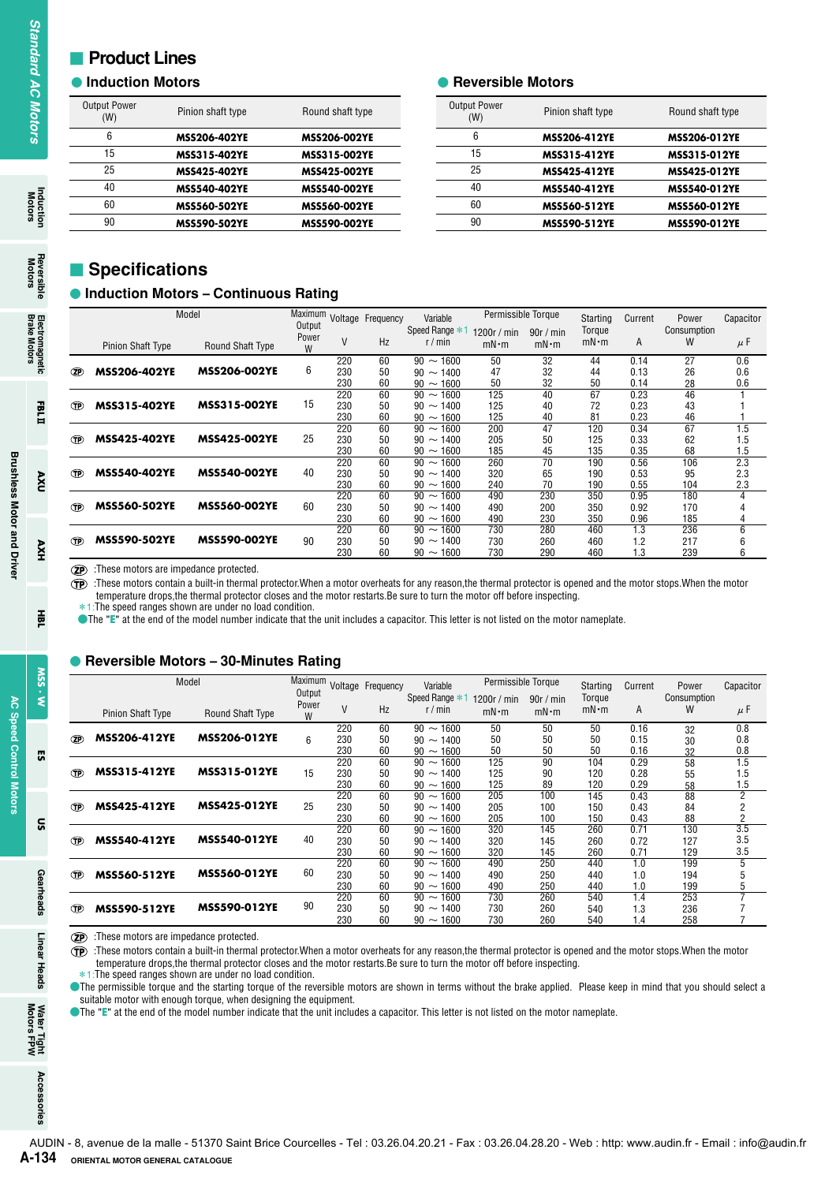#### **Product Lines**

#### **Induction Motors**

| <b>Output Power</b><br>(W) | Pinion shaft type   | Round shaft type    |
|----------------------------|---------------------|---------------------|
| 6                          | <b>MSS206-402YE</b> | <b>MSS206-002YE</b> |
| 15                         | MSS315-402YE        | <b>MSS315-002YE</b> |
| 25                         | <b>MSS425-402YE</b> | <b>MSS425-002YE</b> |
| 40                         | <b>MSS540-402YE</b> | <b>MSS540-002YE</b> |
| 60                         | <b>MSS560-502YE</b> | <b>MSS560-002YE</b> |
| 90                         | <b>MSS590-502YE</b> | <b>MSS590-002YE</b> |

#### **• Reversible Motors**

| <b>Output Power</b><br>(W) | Pinion shaft type | Round shaft type |
|----------------------------|-------------------|------------------|
| 6                          | MSS206-412YE      | MSS206-012YE     |
| 15                         | MSS315-412YE      | MSS315-012YE     |
| 25                         | MSS425-412YE      | MSS425-012YE     |
| 40                         | MSS540-412YE      | MSS540-012YE     |
| 60                         | MSS560-512YE      | MSS560-012YE     |
| 90                         | MSS590-512YE      | MSS590-012YE     |
|                            |                   |                  |

#### $\blacksquare$  Specifications

#### **Induction Motors – Continuous Rating**

|                | (W)<br>6<br>15<br>25                              | Pinion shaft type                                                                                                                                                                                                                                                                                                                                                                                                                                                                                                    |                 | Round shaft type                    |                                 |                                                                      | <b>Output Power</b>      |                                   | Pinion shaft type                  |                              | Round shaft type             |           |  |
|----------------|---------------------------------------------------|----------------------------------------------------------------------------------------------------------------------------------------------------------------------------------------------------------------------------------------------------------------------------------------------------------------------------------------------------------------------------------------------------------------------------------------------------------------------------------------------------------------------|-----------------|-------------------------------------|---------------------------------|----------------------------------------------------------------------|--------------------------|-----------------------------------|------------------------------------|------------------------------|------------------------------|-----------|--|
|                |                                                   |                                                                                                                                                                                                                                                                                                                                                                                                                                                                                                                      |                 |                                     |                                 |                                                                      | (W)<br>6                 |                                   |                                    |                              |                              |           |  |
|                |                                                   | MSS206-402YE<br>MSS315-402YE                                                                                                                                                                                                                                                                                                                                                                                                                                                                                         |                 | MSS206-002YE<br><b>MSS315-002YE</b> |                                 |                                                                      | 15                       |                                   | MSS206-412YE<br>MSS315-412YE       |                              | MSS206-012YE<br>MSS315-012YE |           |  |
|                |                                                   | MSS425-402YE                                                                                                                                                                                                                                                                                                                                                                                                                                                                                                         |                 | <b>MSS425-002YE</b>                 |                                 |                                                                      | 25                       |                                   | <b>MSS425-412YE</b>                |                              | MSS425-012YE                 |           |  |
|                | 40                                                | MSS540-402YE                                                                                                                                                                                                                                                                                                                                                                                                                                                                                                         |                 | <b>MSS540-002YE</b>                 |                                 |                                                                      | 40                       |                                   | MSS540-412YE                       |                              | MSS540-012YE                 |           |  |
|                | 60                                                | <b>MSS560-502YE</b>                                                                                                                                                                                                                                                                                                                                                                                                                                                                                                  |                 | <b>MSS560-002YE</b>                 |                                 |                                                                      | 60                       |                                   | MSS560-512YE                       |                              | MSS560-012YE                 |           |  |
|                | 90                                                | <b>MSS590-502YE</b>                                                                                                                                                                                                                                                                                                                                                                                                                                                                                                  |                 | <b>MSS590-002YE</b>                 |                                 |                                                                      | 90                       |                                   | MSS590-512YE                       |                              | MSS590-012YE                 |           |  |
|                | <b>Specifications</b>                             | <b>• Induction Motors - Continuous Rating</b><br>Model                                                                                                                                                                                                                                                                                                                                                                                                                                                               | Output          |                                     | Maximum Voltage Frequency       | Variable<br>Speed Range * 1 1200r / min                              | Permissible Torque       |                                   | Starting                           | Current                      | Power<br>Consumption         | Capacitor |  |
|                | <b>Pinion Shaft Type</b>                          | <b>Round Shaft Type</b>                                                                                                                                                                                                                                                                                                                                                                                                                                                                                              | Power<br>W      | V                                   | Hz                              | r/min                                                                | $mN \cdot m$             | 90r/min<br>$mN \cdot m$           | Torque<br>$mN \cdot m$             | Α                            | W                            |           |  |
| (ZP)           | <b>MSS206-402YE</b>                               | <b>MSS206-002YE</b>                                                                                                                                                                                                                                                                                                                                                                                                                                                                                                  | 6               | 220<br>230<br>230<br>220            | 60<br>50<br>60<br>60            | $90 \sim 1600$<br>$90 \sim 1400$<br>$90 \sim 1600$<br>$90 \sim 1600$ | 50<br>47<br>50<br>125    | $\overline{32}$<br>32<br>32<br>40 | 44<br>44<br>50<br>67               | 0.14<br>0.13<br>0.14<br>0.23 | 27<br>26<br>28<br>46         |           |  |
| Œ              | <b>MSS315-402YE</b>                               | <b>MSS315-002YE</b>                                                                                                                                                                                                                                                                                                                                                                                                                                                                                                  | 15              | 230<br>230<br>220                   | 50<br>60<br>60                  | $90 \sim 1400$<br>$90 \sim 1600$<br>$90 \sim 1600$                   | 125<br>125<br>200        | 40<br>40<br>47                    | 72<br>81<br>120                    | 0.23<br>0.23<br>0.34         | 43<br>46<br>67               |           |  |
| Œ<br><b>TP</b> | <b>MSS425-402YE</b><br><b>MSS540-402YE</b>        | <b>MSS425-002YE</b><br><b>MSS540-002YE</b>                                                                                                                                                                                                                                                                                                                                                                                                                                                                           | 25<br>40        | 230<br>230<br>220<br>230            | 50<br>60<br>60<br>50            | $90 \sim 1400$<br>$90 \sim 1600$<br>$90 \sim 1600$<br>$90 \sim 1400$ | 205<br>185<br>260<br>320 | 50<br>45<br>70<br>65              | 125<br>135<br>190<br>190           | 0.33<br>0.35<br>0.56<br>0.53 | 62<br>68<br>106<br>95        |           |  |
| (TP)           | <b>MSS560-502YE</b>                               | <b>MSS560-002YE</b>                                                                                                                                                                                                                                                                                                                                                                                                                                                                                                  | 60              | 230<br>220<br>230                   | 60<br>60<br>50                  | $90 \sim 1600$<br>$90 \sim 1600$<br>$90 \sim 1400$                   | 240<br>490<br>490        | 70<br>230<br>200                  | 190<br>350<br>350                  | 0.55<br>0.95<br>0.92         | 104<br>180<br>170            |           |  |
|                | <b>MSS590-502YE</b>                               |                                                                                                                                                                                                                                                                                                                                                                                                                                                                                                                      | 90              | 230<br>220<br>230                   | 60<br>60<br>50                  | $90 \sim 1600$<br>$90 \sim 1600$<br>$90 \sim 1400$                   | 490<br>730<br>730        | 230<br>280<br>260                 | 350<br>460<br>460                  | 0.96<br>1.3<br>1.2           | 185<br>236<br>217            |           |  |
| നു             | <b>(2P)</b> These motors are impedance protected. | <b>MSS590-002YE</b><br>These motors contain a built-in thermal protector. When a motor overheats for any reason, the thermal protector is opened and the motor stops. When the motor<br>temperature drops, the thermal protector closes and the motor restarts. Be sure to turn the motor off before inspecting.<br>*1: The speed ranges shown are under no load condition.<br>The "E" at the end of the model number indicate that the unit includes a capacitor. This letter is not listed on the motor nameplate. |                 | 230                                 | 60                              | $90 \sim 1600$                                                       | 730                      | 290                               | 460                                | 1.3                          | 239                          |           |  |
|                |                                                   | Reversible Motors - 30-Minutes Rating<br>Model                                                                                                                                                                                                                                                                                                                                                                                                                                                                       |                 |                                     |                                 |                                                                      | Permissible Torque       |                                   |                                    |                              |                              |           |  |
|                |                                                   |                                                                                                                                                                                                                                                                                                                                                                                                                                                                                                                      | Output<br>Power | V                                   | Maximum Voltage Frequency<br>Hz | Variable<br>Speed Range *1 1200r / min<br>r/min                      |                          | 90r/min                           | Starting<br>Torque<br>$mN \cdot m$ | Current<br>A                 | Power<br>Consumption<br>W    | Capacitor |  |
| ®              | Pinion Shaft Type<br>MSS206-412YE                 | Round Shaft Type<br>MSS206-012YE                                                                                                                                                                                                                                                                                                                                                                                                                                                                                     | W<br>6          | 220<br>230                          | 60<br>50                        | $90 \sim 1600$<br>$90 \sim 1400$                                     | $mN \cdot m$<br>50<br>50 | $mN \cdot m$<br>50<br>50          | 50<br>50                           | 0.16<br>0.15                 | 32<br>30                     |           |  |
| Œ              | MSS315-412YE                                      | MSS315-012YE                                                                                                                                                                                                                                                                                                                                                                                                                                                                                                         | 15              | 230<br>220<br>230                   | 60<br>60<br>50                  | $90 \sim 1600$<br>$90 \sim 1600$<br>$90 \sim 1400$                   | 50<br>125<br>125         | 50<br>90<br>90                    | 50<br>104<br>120                   | 0.16<br>0.29<br>0.28         | 32<br>58<br>55               |           |  |
| Œ              | MSS425-412YE                                      | <b>MSS425-012YE</b>                                                                                                                                                                                                                                                                                                                                                                                                                                                                                                  | 25              | 230<br>220<br>230<br>230            | 60<br>60<br>50<br>60            | $90 \sim 1600$<br>$90 \sim 1600$<br>$90 \sim 1400$<br>$90 \sim 1600$ | 125<br>205<br>205<br>205 | 89<br>100<br>100<br>100           | 120<br>145<br>150<br>150           | 0.29<br>0.43<br>0.43<br>0.43 | 58<br>88<br>84<br>88         |           |  |
| œ              | MSS540-412YE                                      | MSS540-012YE                                                                                                                                                                                                                                                                                                                                                                                                                                                                                                         | 40              | 220<br>230<br>230                   | 60<br>50<br>60                  | $90 \sim 1600$<br>$90 \sim 1400$<br>$90 \sim 1600$                   | 320<br>320<br>320        | 145<br>145<br>145                 | 260<br>260<br>260                  | 0.71<br>0.72<br>0.71         | 130<br>127<br>129            |           |  |
| œ              | MSS560-512YE                                      | MSS560-012YE                                                                                                                                                                                                                                                                                                                                                                                                                                                                                                         | 60              | 220<br>230<br>230<br>220            | 60<br>50<br>60<br>60            | $90 \sim 1600$<br>$90 \sim 1400$<br>$90 \sim 1600$<br>$90 \sim 1600$ | 490<br>490<br>490<br>730 | 250<br>250<br>250<br>260          | 440<br>440<br>440<br>540           | 1.0<br>1.0<br>1.0<br>1.4     | 199<br>194<br>199<br>253     |           |  |

#### **Reversible Motors – 30-Minutes Rating**

|               |                          | Model               | Maximum<br>Output |                   | Voltage Frequency | Variable<br>Speed Range *1                                  | Permissible Torque            |                         | Starting<br>Torque | Current              | Power<br>Consumption | Capacitor                             |
|---------------|--------------------------|---------------------|-------------------|-------------------|-------------------|-------------------------------------------------------------|-------------------------------|-------------------------|--------------------|----------------------|----------------------|---------------------------------------|
|               | <b>Pinion Shaft Type</b> | Round Shaft Type    | Power<br>W        | V                 | <b>Hz</b>         | r/min                                                       | 1200 $r/m$ in<br>$mN \cdot m$ | 90r/min<br>$mN \cdot m$ | $mN \cdot m$       | A                    | W                    | $\mu$ F                               |
| $\mathcal{P}$ | <b>MSS206-412YE</b>      | <b>MSS206-012YE</b> | 6                 | 220<br>230<br>230 | 60<br>50<br>60    | $90 \sim$<br>1600<br>$90 \sim$<br>1400<br>$90 \sim 1600$    | 50<br>50<br>50                | 50<br>50<br>50          | 50<br>50<br>50     | 0.16<br>0.15<br>0.16 | 32<br>30<br>32       | 0.8<br>0.8<br>0.8                     |
| <b>TP</b>     | <b>MSS315-412YE</b>      | <b>MSS315-012YE</b> | 15                | 220<br>230<br>230 | 60<br>50<br>60    | $90 \sim$<br>1600<br>$90 \sim$<br>1400<br>1600<br>$90 \sim$ | 125<br>125<br>125             | 90<br>90<br>89          | 104<br>120<br>120  | 0.29<br>0.28<br>0.29 | 58<br>55<br>58       | 1.5<br>1.5<br>1.5                     |
| <b>TP</b>     | <b>MSS425-412YE</b>      | <b>MSS425-012YE</b> | 25                | 220<br>230<br>230 | 60<br>50<br>60    | $90 \sim$<br>1600<br>$90 \sim$<br>1400<br>1600<br>$90 \sim$ | 205<br>205<br>205             | 100<br>100<br>100       | 145<br>150<br>150  | 0.43<br>0.43<br>0.43 | 88<br>84<br>88       | $\overline{2}$<br>2<br>$\overline{2}$ |
| Œ             | <b>MSS540-412YE</b>      | <b>MSS540-012YE</b> | 40                | 220<br>230<br>230 | 60<br>50<br>60    | $90 \sim$<br>1600<br>$90 \sim$<br>1400<br>$90 \sim 1600$    | 320<br>320<br>320             | 145<br>145<br>145       | 260<br>260<br>260  | 0.71<br>0.72<br>0.71 | 130<br>127<br>129    | 3.5<br>3.5<br>3.5                     |
| Œ             | <b>MSS560-512YE</b>      | <b>MSS560-012YE</b> | 60                | 220<br>230<br>230 | 60<br>50<br>60    | 1600<br>$90 \sim$<br>$90 \sim$<br>1400<br>$90 \sim 1600$    | 490<br>490<br>490             | 250<br>250<br>250       | 440<br>440<br>440  | 1.0<br>1.0<br>1.0    | 199<br>194<br>199    | 5<br>5<br>5                           |
| Œ             | <b>MSS590-512YE</b>      | <b>MSS590-012YE</b> |                   | 220<br>230<br>230 | 60<br>50<br>60    | $90 \sim$<br>1600<br>$90 \sim$<br>1400<br>1600<br>$90 \sim$ | 730<br>730<br>730             | 260<br>260<br>260       | 540<br>540<br>540  | 1.4<br>1.3<br>1.4    | 253<br>236<br>258    |                                       |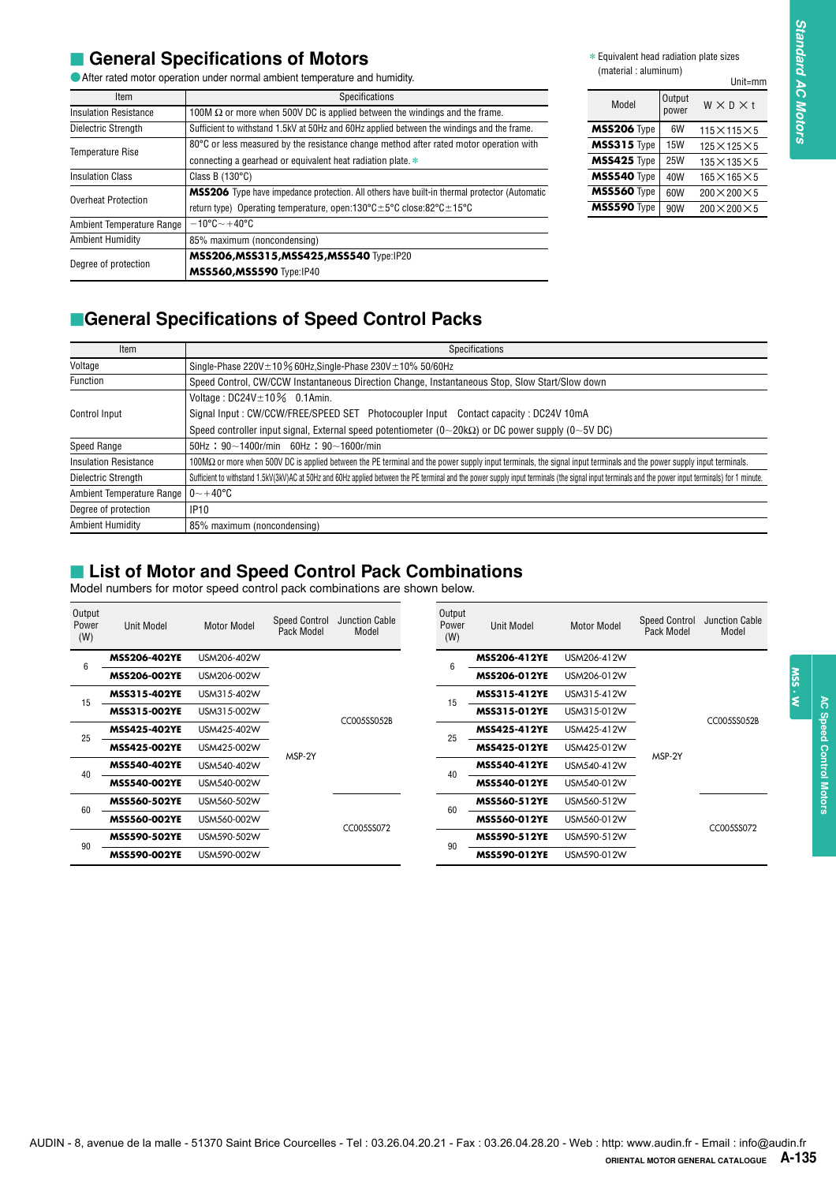#### **E** General Specifications of Motors

| Item                         | Specifications                                                                                                             |
|------------------------------|----------------------------------------------------------------------------------------------------------------------------|
| <b>Insulation Resistance</b> | 100M $\Omega$ or more when 500V DC is applied between the windings and the frame.                                          |
| Dielectric Strength          | Sufficient to withstand 1.5kV at 50Hz and 60Hz applied between the windings and the frame.                                 |
| <b>Temperature Rise</b>      | 80°C or less measured by the resistance change method after rated motor operation with                                     |
|                              | connecting a gearhead or equivalent heat radiation plate. $*$                                                              |
| <b>Insulation Class</b>      | Class B $(130^{\circ}C)$                                                                                                   |
| <b>Overheat Protection</b>   | <b>MSS206</b> Type have impedance protection. All others have built-in thermal protector (Automatic                        |
|                              | return type) Operating temperature, open:130 $^{\circ}$ C $\pm$ 5 $^{\circ}$ C close:82 $^{\circ}$ C $\pm$ 15 $^{\circ}$ C |
| Ambient Temperature Range    | $-10^{\circ}$ C $\sim$ +40 $^{\circ}$ C                                                                                    |
| <b>Ambient Humidity</b>      | 85% maximum (noncondensing)                                                                                                |
| Degree of protection         | MSS206, MSS315, MSS425, MSS540 Type:IP20                                                                                   |
|                              | <b>MSS560, MSS590</b> Type:IP40                                                                                            |

|                    |                 | Unit=mm                   |
|--------------------|-----------------|---------------------------|
| Model              | Output<br>power | $W \times D \times t$     |
| <b>MSS206</b> Type | 6W              | $115\times115\times5$     |
| <b>MSS315</b> Type | <b>15W</b>      | $125\times125\times5$     |
| MSS425 Type        | <b>25W</b>      | $135 \times 135 \times 5$ |
| MSS540 Type        | 40W             | $165\times165\times5$     |
| MSS560 Type        | 60W             | $200 \times 200 \times 5$ |
| <b>MSS590</b> Type | 90W             | $200 \times 200 \times 5$ |

#### **E**General Specifications of Speed Control Packs

| Item                         | Specifications                                                                                                                                                                                      |
|------------------------------|-----------------------------------------------------------------------------------------------------------------------------------------------------------------------------------------------------|
| Voltage                      | Single-Phase $220V \pm 10\%$ 60Hz, Single-Phase $230V \pm 10\%$ 50/60Hz                                                                                                                             |
| Function                     | Speed Control, CW/CCW Instantaneous Direction Change, Instantaneous Stop, Slow Start/Slow down                                                                                                      |
|                              | Voltage: $DC24V \pm 10\%$ 0.1Amin.                                                                                                                                                                  |
| Control Input                | Signal Input: CW/CCW/FREE/SPEED SET Photocoupler Input Contact capacity: DC24V 10mA                                                                                                                 |
|                              | Speed controller input signal, External speed potentiometer $(0\sim 20k\Omega)$ or DC power supply $(0\sim 5V$ DC)                                                                                  |
| Speed Range                  | $50$ Hz: $90 \sim 1400$ r/min 60Hz: $90 \sim 1600$ r/min                                                                                                                                            |
| <b>Insulation Resistance</b> | 100MΩ or more when 500V DC is applied between the PE terminal and the power supply input terminals, the signal input terminals and the power supply input terminals.                                |
| Dielectric Strength          | Sufficient to withstand 1.5kV(3kV)AC at 50Hz and 60Hz applied between the PE terminal and the power supply input terminals (the signal input terminals and the power input terminals) for 1 minute. |
| Ambient Temperature Range    | $0$ ~+40°C                                                                                                                                                                                          |
| Degree of protection         | <b>IP10</b>                                                                                                                                                                                         |
| <b>Ambient Humidity</b>      | 85% maximum (noncondensing)                                                                                                                                                                         |

#### **External List of Motor and Speed Control Pack Combinations**

|                                               |                                                 |                                                                                                                                                                                         |                      | After rated motor operation under normal ambient temperature and humidity. |                 |                                                                                                                                                                                                     | (material: aluminum)       |                      | Unit=mm                                            |
|-----------------------------------------------|-------------------------------------------------|-----------------------------------------------------------------------------------------------------------------------------------------------------------------------------------------|----------------------|----------------------------------------------------------------------------|-----------------|-----------------------------------------------------------------------------------------------------------------------------------------------------------------------------------------------------|----------------------------|----------------------|----------------------------------------------------|
|                                               | Item                                            |                                                                                                                                                                                         |                      | Specifications                                                             |                 |                                                                                                                                                                                                     |                            | Output               |                                                    |
|                                               | <b>Insulation Resistance</b>                    | 100M $\Omega$ or more when 500V DC is applied between the windings and the frame.                                                                                                       |                      |                                                                            |                 |                                                                                                                                                                                                     | Model                      | power                | $W \times D \times t$                              |
|                                               | <b>Dielectric Strength</b>                      | Sufficient to withstand 1.5kV at 50Hz and 60Hz applied between the windings and the frame.                                                                                              |                      |                                                                            |                 |                                                                                                                                                                                                     | MSS206 Type                | 6W                   | $115\times115\times5$                              |
|                                               | <b>Temperature Rise</b>                         | 80°C or less measured by the resistance change method after rated motor operation with                                                                                                  |                      |                                                                            |                 |                                                                                                                                                                                                     | $MSS315$ Type              | <b>15W</b>           | $125 \times 125 \times 5$                          |
| <b>Insulation Class</b>                       |                                                 | connecting a gearhead or equivalent heat radiation plate. *<br>Class B $(130^{\circ}C)$                                                                                                 |                      |                                                                            |                 |                                                                                                                                                                                                     | MSS425 Type<br>MSS540 Type | <b>25W</b><br>40W    | $135 \times 135 \times 5$<br>$165\times165\times5$ |
|                                               |                                                 |                                                                                                                                                                                         |                      |                                                                            |                 | <b>MSS206</b> Type have impedance protection. All others have built-in thermal protector (Automatic                                                                                                 | MSS560 Type                | 60W                  | $200 \times 200 \times 5$                          |
|                                               | Overheat Protection                             | return type) Operating temperature, open:130°C $\pm$ 5°C close:82°C $\pm$ 15°C                                                                                                          |                      |                                                                            |                 |                                                                                                                                                                                                     | MSS590 Type                | 90W                  | $200 \times 200 \times 5$                          |
|                                               | Ambient Temperature Range                       | $-10^{\circ}$ C $-+40^{\circ}$ C                                                                                                                                                        |                      |                                                                            |                 |                                                                                                                                                                                                     |                            |                      |                                                    |
|                                               | <b>Ambient Humidity</b>                         | 85% maximum (noncondensing)                                                                                                                                                             |                      |                                                                            |                 |                                                                                                                                                                                                     |                            |                      |                                                    |
|                                               | Degree of protection                            | <b>MSS206, MSS315, MSS425, MSS540 Type:IP20</b><br><b>MSS560, MSS590</b> Type:IP40                                                                                                      |                      |                                                                            |                 |                                                                                                                                                                                                     |                            |                      |                                                    |
|                                               |                                                 |                                                                                                                                                                                         |                      |                                                                            |                 |                                                                                                                                                                                                     |                            |                      |                                                    |
|                                               |                                                 | <b>General Specifications of Speed Control Packs</b>                                                                                                                                    |                      |                                                                            |                 |                                                                                                                                                                                                     |                            |                      |                                                    |
|                                               | Item                                            |                                                                                                                                                                                         |                      |                                                                            |                 | Specifications                                                                                                                                                                                      |                            |                      |                                                    |
| Voltage<br>Function                           |                                                 | Single-Phase $220V \pm 10\%$ 60Hz, Single-Phase $230V \pm 10\%$ 50/60Hz                                                                                                                 |                      |                                                                            |                 | Speed Control, CW/CCW Instantaneous Direction Change, Instantaneous Stop, Slow Start/Slow down                                                                                                      |                            |                      |                                                    |
|                                               |                                                 | Voltage: $DC24V \pm 10\%$ 0.1Amin.                                                                                                                                                      |                      |                                                                            |                 |                                                                                                                                                                                                     |                            |                      |                                                    |
| Control Input                                 |                                                 |                                                                                                                                                                                         |                      |                                                                            |                 | Signal Input: CW/CCW/FREE/SPEED SET Photocoupler Input Contact capacity: DC24V 10mA                                                                                                                 |                            |                      |                                                    |
|                                               |                                                 |                                                                                                                                                                                         |                      |                                                                            |                 | Speed controller input signal, External speed potentiometer $(0\sim 20k\Omega)$ or DC power supply $(0\sim 5V$ DC)                                                                                  |                            |                      |                                                    |
| Speed Range                                   |                                                 | 50Hz: $90\sim$ 1400r/min 60Hz: $90\sim$ 1600r/min                                                                                                                                       |                      |                                                                            |                 |                                                                                                                                                                                                     |                            |                      |                                                    |
|                                               | <b>Insulation Resistance</b>                    |                                                                                                                                                                                         |                      |                                                                            |                 | 100MΩ or more when 500V DC is applied between the PE terminal and the power supply input terminals, the signal input terminals and the power supply input terminals.                                |                            |                      |                                                    |
|                                               | Dielectric Strength                             |                                                                                                                                                                                         |                      |                                                                            |                 | Sufficient to withstand 1.5kV(3kV)AC at 50Hz and 60Hz applied between the PE terminal and the power supply input terminals (the signal input terminals and the power input terminals) for 1 minute. |                            |                      |                                                    |
|                                               |                                                 |                                                                                                                                                                                         |                      |                                                                            |                 |                                                                                                                                                                                                     |                            |                      |                                                    |
|                                               | Ambient Temperature Range                       | $0 - +40$ °C                                                                                                                                                                            |                      |                                                                            |                 |                                                                                                                                                                                                     |                            |                      |                                                    |
|                                               | Degree of protection<br><b>Ambient Humidity</b> | IP <sub>10</sub><br>85% maximum (noncondensing)<br><b>List of Motor and Speed Control Pack Combinations</b><br>Model numbers for motor speed control pack combinations are shown below. | <b>Speed Control</b> | <b>Junction Cable</b>                                                      | Output<br>Power |                                                                                                                                                                                                     |                            | <b>Speed Control</b> | <b>Junction Cable</b>                              |
|                                               | <b>Unit Model</b>                               | <b>Motor Model</b>                                                                                                                                                                      | Pack Model           | Model                                                                      | (W)             | <b>Unit Model</b>                                                                                                                                                                                   | <b>Motor Model</b>         | Pack Model           | Model                                              |
|                                               | MSS206-402YE                                    | USM206-402W                                                                                                                                                                             |                      |                                                                            | 6               | MSS206-412YE                                                                                                                                                                                        | USM206-412W                |                      |                                                    |
|                                               | MSS206-002YE                                    | USM206-002W                                                                                                                                                                             |                      |                                                                            |                 | MSS206-012YE                                                                                                                                                                                        | USM206-012W                |                      |                                                    |
|                                               | <b>MSS315-402YE</b>                             | USM315-402W                                                                                                                                                                             |                      |                                                                            | 15              | MSS315-412YE                                                                                                                                                                                        | USM315-412W                |                      |                                                    |
|                                               | MSS315-002YE                                    | USM315-002W                                                                                                                                                                             |                      | CC005SS052B                                                                |                 | MSS315-012YE                                                                                                                                                                                        | USM315-012W                |                      | CC005SS052B                                        |
|                                               | MSS425-402YE                                    | USM425-402W                                                                                                                                                                             |                      |                                                                            | 25              | MSS425-412YE                                                                                                                                                                                        | USM425-412W                |                      |                                                    |
|                                               | MSS425-002YE                                    | USM425-002W                                                                                                                                                                             | MSP-2Y               |                                                                            |                 | MSS425-012YE                                                                                                                                                                                        | USM425-012W                | MSP-2Y               |                                                    |
|                                               | <b>MSS540-402YE</b>                             | USM540-402W                                                                                                                                                                             |                      |                                                                            | 40              | MSS540-412YE                                                                                                                                                                                        | USM540-412W                |                      |                                                    |
| Output<br>Power<br>(W)<br>6<br>15<br>25<br>40 | <b>MSS540-002YE</b>                             | USM540-002W                                                                                                                                                                             |                      |                                                                            |                 | MSS540-012YE                                                                                                                                                                                        | USM540-012W                |                      |                                                    |
|                                               | <b>MSS560-502YE</b>                             | USM560-502W                                                                                                                                                                             |                      |                                                                            | 60              | MSS560-512YE                                                                                                                                                                                        | USM560-512W                |                      |                                                    |
| 60                                            | MSS560-002YE<br><b>MSS590-502YE</b>             | USM560-002W<br>USM590-502W                                                                                                                                                              |                      | CC005SS072                                                                 |                 | MSS560-012YE<br>MSS590-512YE                                                                                                                                                                        | USM560-012W<br>USM590-512W |                      | CC005SS072                                         |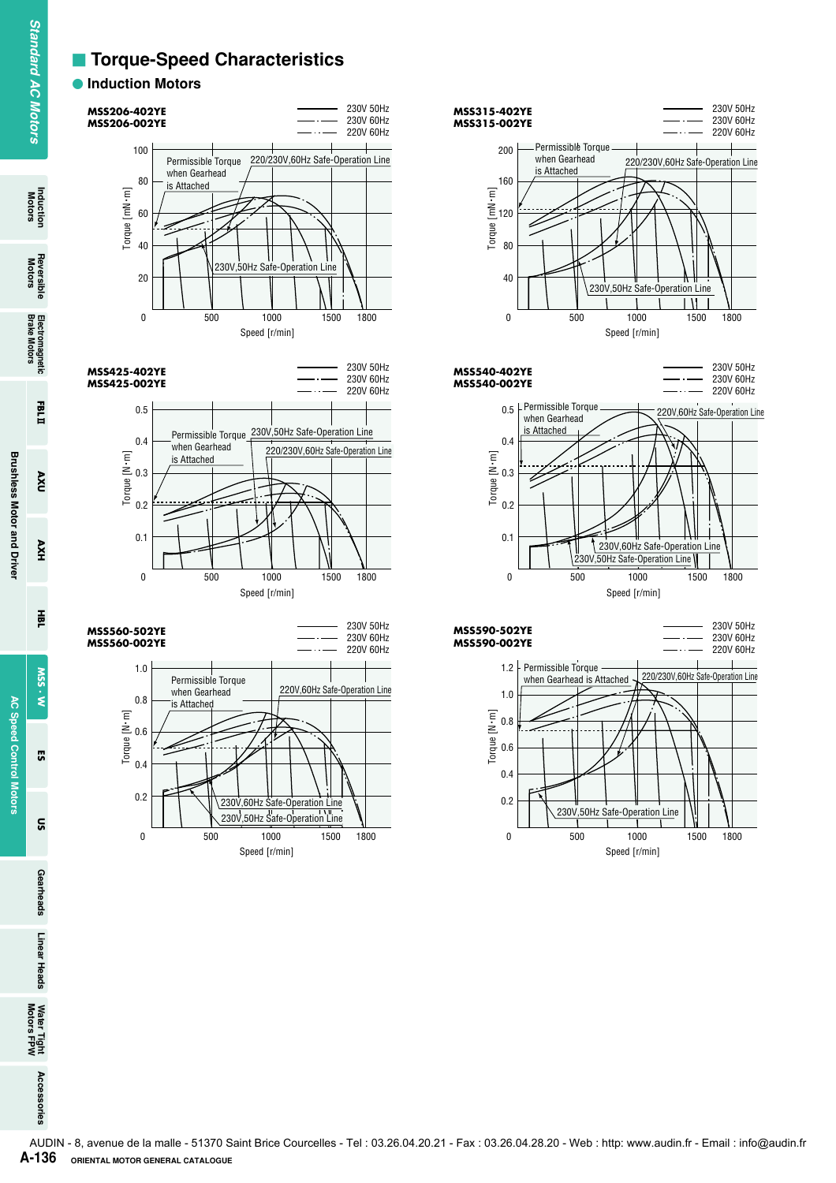#### **Example: Torque-Speed Characteristics**

#### $\bullet$  **Induction Motors**













Induction<br>Motors

**Reversible<br>Motors** 

 $\mathbf{Q}$ 

HXV

픑

SSM  $\dot{\tilde{\mathbf{z}}}$ 

**G** 

 $\tilde{a}$ 

Gearheads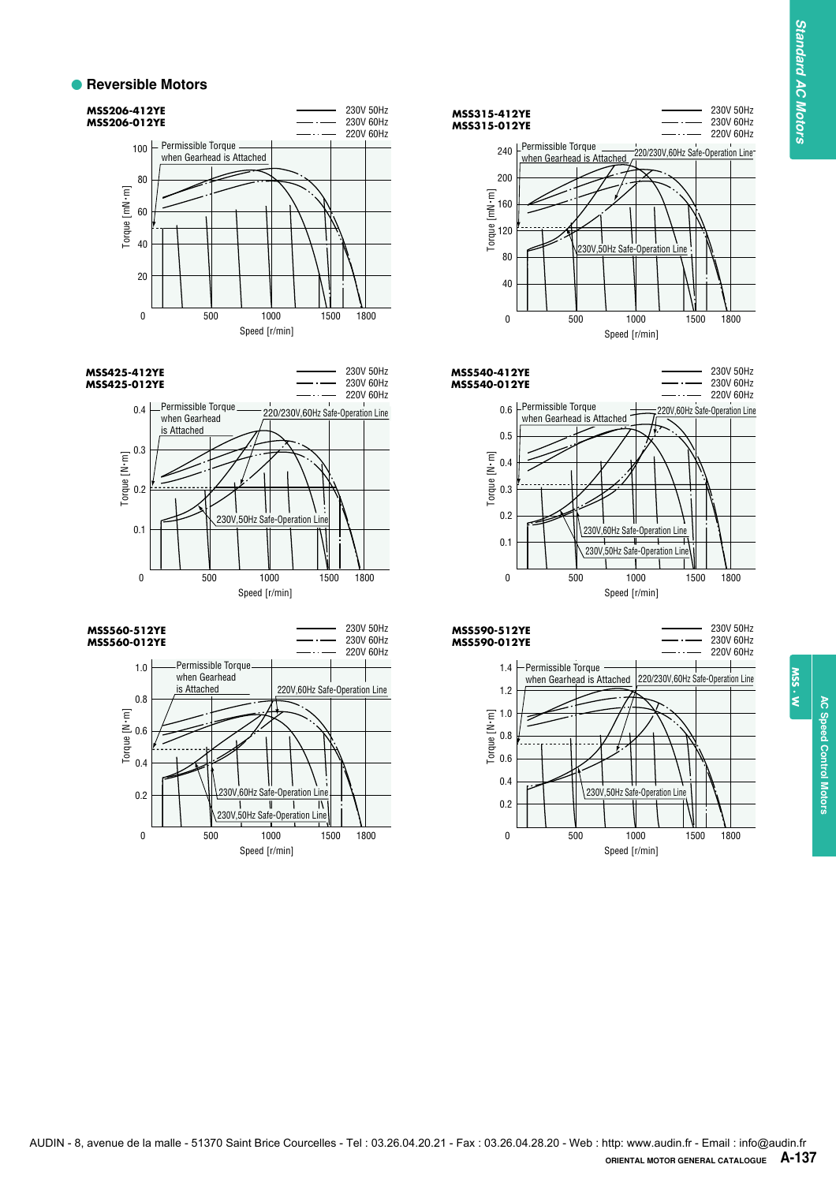#### **• Reversible Motors**













**AC Speed Control Motors AC Speed Control Motors**

W.SS.W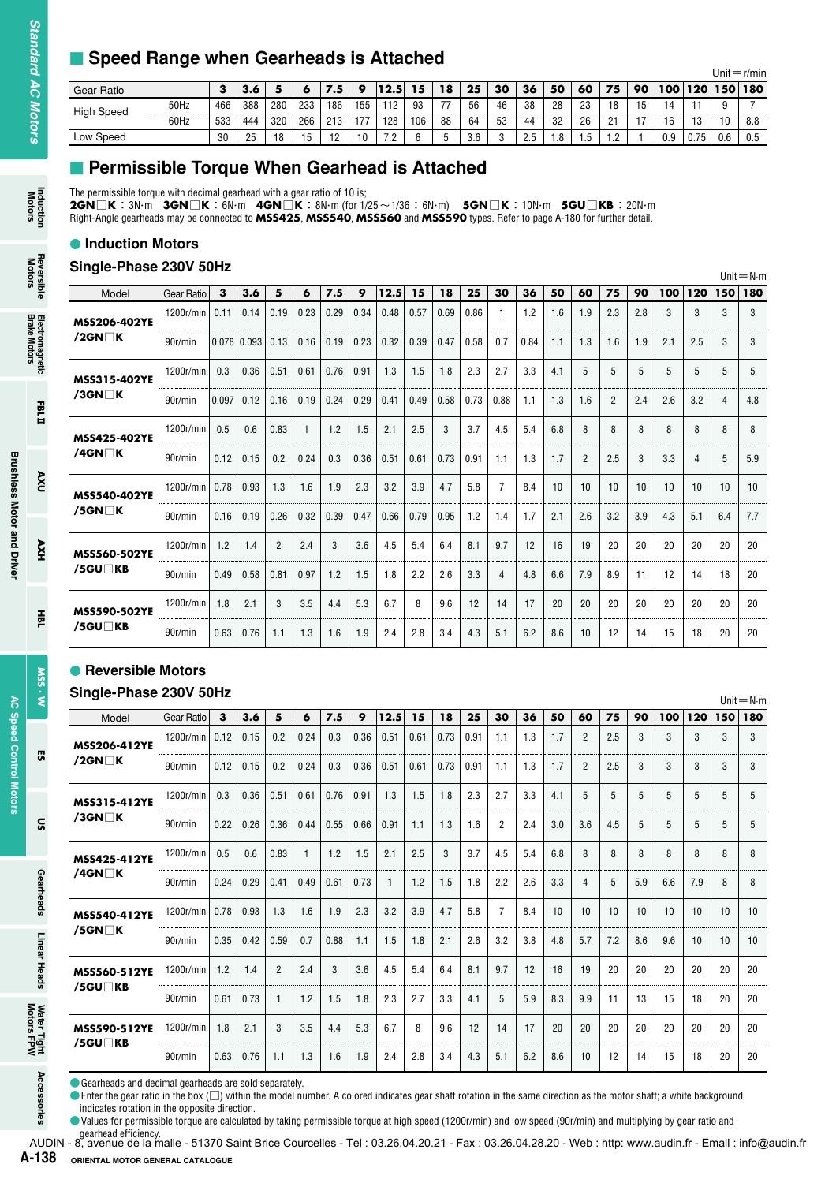#### **E** Speed Range when Gearheads is Attached

| - - - - -         | - -  |     |     | - - - |     |     |     |      |     |    |     |    |                 |                     |     |          |    |                   |     |             | Unit $=r/m$ in |
|-------------------|------|-----|-----|-------|-----|-----|-----|------|-----|----|-----|----|-----------------|---------------------|-----|----------|----|-------------------|-----|-------------|----------------|
| Gear Ratio        |      | з   |     |       |     | 7.5 | o   | 12.5 | 15  | 18 | 25  | 30 | 36              | 50                  | 60  | 75       | 90 | 100               | 120 | 150         | 180            |
| <b>High Speed</b> | 50Hz | 466 | 388 | 280   | 233 | 186 | 155 | 112  | 93  | 77 | 56  | 46 | 38<br>--------- | 28<br>------------- | 23  | 18       |    | 14<br>----------- |     | ----------- |                |
|                   | 60Hz | 533 | 444 | 320   | 266 | 213 | 177 | 128  | 106 | 88 | 64  | 53 | 44              | 32                  | 26  | 21       |    | 16                | 13  | 10          | 8.8            |
| Low Speed         |      | 30  | 25  | 18    | 15  | 12  | 10  | 79   |     |    | 3.6 |    | っち<br>ں ے       | $\circ$<br>1.O      | . ب | റ<br>$-$ |    | 0.9               | .75 | 0.6         | 0.5            |

#### **E** Permissible Torque When Gearhead is Attached

#### **Induction Motors**

#### **Single-Phase 230V 50Hz**

| Model               | Gear Ratio | 3     | 3.6           | 5              | 6    | 7.5  | 9    | 12.5 | 15   | 18   | 25   | 30             | 36   | 50  | 60             | 75             | 90  | 100 | 120 | 150 | $UIII = IVIII$<br>180 |
|---------------------|------------|-------|---------------|----------------|------|------|------|------|------|------|------|----------------|------|-----|----------------|----------------|-----|-----|-----|-----|-----------------------|
| <b>MSS206-402YE</b> | 1200r/min  | 0.11  | 0.14          | 0.19           | 0.23 | 0.29 | 0.34 | 0.48 | 0.57 | 0.69 | 0.86 | 1              | 1.2  | 1.6 | 1.9            | 2.3            | 2.8 | 3   | 3   | 3   | 3                     |
| $/2$ GN $\Box$ K    | 90r/min    |       | $0.078$ 0.093 | 0.13           | 0.16 | 0.19 | 0.23 | 0.32 | 0.39 | 0.47 | 0.58 | 0.7            | 0.84 | 1.1 | 1.3            | 1.6            | 1.9 | 2.1 | 2.5 | 3   | 3                     |
| <b>MSS315-402YE</b> | 1200r/min  | 0.3   | 0.36          | 0.51           | 0.61 | 0.76 | 0.91 | 1.3  | 1.5  | 1.8  | 2.3  | 2.7            | 3.3  | 4.1 | 5              | 5              | 5   | 5   | 5   | 5   | 5                     |
| $/3$ GN $\Box$ K    | 90r/min    | 0.097 | 0.12          | 0.16           | 0.19 | 0.24 | 0.29 | 0.41 | 0.49 | 0.58 | 0.73 | 0.88           | 1.1  | 1.3 | 1.6            | $\overline{2}$ | 2.4 | 2.6 | 3.2 | 4   | 4.8                   |
| <b>MSS425-402YE</b> | 1200r/min  | 0.5   | 0.6           | 0.83           |      | 1.2  | 1.5  | 2.1  | 2.5  | 3    | 3.7  | 4.5            | 5.4  | 6.8 | 8              | 8              | 8   | 8   | 8   | 8   | 8                     |
| /4GN $\neg$ K       | 90r/min    | 0.12  | 0.15          | 0.2            | 0.24 | 0.3  | 0.36 | 0.51 | 0.61 | 0.73 | 0.91 | 1.1            | 1.3  | 1.7 | $\overline{2}$ | 2.5            | 3   | 3.3 | 4   | 5   | 5.9                   |
| <b>MSS540-402YE</b> | 1200r/min  | 0.78  | 0.93          | 1.3            | 1.6  | 1.9  | 2.3  | 3.2  | 3.9  | 4.7  | 5.8  | $\overline{7}$ | 8.4  | 10  | 10             | 10             | 10  | 10  | 10  | 10  | 10                    |
| $/5$ GN $\Box$ K    | 90r/min    | 0.16  | 0.19          | 0.26           | 0.32 | 0.39 | 0.47 | 0.66 | 0.79 | 0.95 | 1.2  | 1.4            | 1.7  | 2.1 | 2.6            | 3.2            | 3.9 | 4.3 | 5.1 | 6.4 | 7.7                   |
| <b>MSS560-502YE</b> | 1200r/min  | 1.2   | 1.4           | $\overline{2}$ | 2.4  | 3    | 3.6  | 4.5  | 5.4  | 6.4  | 8.1  | 9.7            | 12   | 16  | 19             | 20             | 20  | 20  | 20  | 20  | 20                    |
| /5GU∏KB             | 90r/min    | 0.49  | 0.58          | 0.81           | 0.97 | 1.2  | 1.5  | 1.8  | 2.2  | 2.6  | 3.3  | $\overline{4}$ | 4.8  | 6.6 | 7.9            | 8.9            | 11  | 12  | 14  | 18  | 20                    |
| <b>MSS590-502YE</b> | 1200r/min  | 1.8   | 2.1           | 3              | 3.5  | 4.4  | 5.3  | 6.7  | 8    | 9.6  | 12   | 14             | 17   | 20  | 20             | 20             | 20  | 20  | 20  | 20  | 20                    |
| /5GU∏KB             | 90r/min    | 0.63  | 0.76          | 1.1            | 1.3  | 1.6  | 1.9  | 2.4  | 2.8  | 3.4  | 4.3  | 5.1            | 6.2  | 8.6 | 10             | 12             | 14  | 15  | 18  | 20  | 20                    |

#### **• Reversible Motors**

#### **Single-Phase 230V 50Hz**

| Gear Ratio                                                                                                                                                                                                                                                                                                                                                                                                                                                |            | 3         | 3.6                | 5              | 6            | 7.5       | 9         | 12.5         | 15       | 18      | 25        | 30             | 36        | 50        | 60             | 75        | 90              | 100       | 120        | Unit $=r/m$ in<br>150     |
|-----------------------------------------------------------------------------------------------------------------------------------------------------------------------------------------------------------------------------------------------------------------------------------------------------------------------------------------------------------------------------------------------------------------------------------------------------------|------------|-----------|--------------------|----------------|--------------|-----------|-----------|--------------|----------|---------|-----------|----------------|-----------|-----------|----------------|-----------|-----------------|-----------|------------|---------------------------|
| <b>High Speed</b>                                                                                                                                                                                                                                                                                                                                                                                                                                         | 50Hz       | 466       | 388                | 280            | 233          | 186       | 155       | 112          | 93       | 77      | 56        | 46             | 38        | 28        | 23             | 18        | 15              | 14        | 11         | 9                         |
| Low Speed                                                                                                                                                                                                                                                                                                                                                                                                                                                 | 60Hz       | 533<br>30 | 444<br>25          | 320<br>18      | 266<br>15    | 213<br>12 | 177<br>10 | 128<br>7.2   | 106<br>6 | 88<br>5 | 64<br>3.6 | 53<br>3        | 44<br>2.5 | 32<br>1.8 | 26<br>1.5      | 21<br>1.2 | 17<br>1         | 16<br>0.9 | 13<br>0.75 | 10<br>0.6                 |
| Permissible Torque When Gearhead is Attached<br>The permissible torque with decimal gearhead with a gear ratio of 10 is;<br>$2$ GN $\Box$ K: 3N·m $3$ GN $\Box$ K: 6N·m $4$ GN $\Box$ K: 8N·m (for 1/25 ~ 1/36: 6N·m) $5$ GN $\Box$ K: 10N·m $5$ GU $\Box$ KB: 20N·m<br>Right-Angle gearheads may be connected to MSS425, MSS540, MSS560 and MSS590 types. Refer to page A-180 for further detail.<br><b>• Induction Motors</b><br>Single-Phase 230V 50Hz |            |           |                    |                |              |           |           |              |          |         |           |                |           |           |                |           |                 |           |            |                           |
| Model                                                                                                                                                                                                                                                                                                                                                                                                                                                     | Gear Ratio | з         | 3.6                | 5              | 6            | 7.5       | 9         | 12.5         | 15       | 18      | 25        | 30             | 36        | 50        | 60             | 75        | 90              | 100       | 120        | $Unit = N \cdot m$<br>150 |
|                                                                                                                                                                                                                                                                                                                                                                                                                                                           | 1200r/min  | 0.11      | 0.14               | 0.19           | 0.23         | 0.29      | 0.34      | 0.48         | 0.57     | 0.69    | 0.86      | $\mathbf{1}$   | 1.2       | 1.6       | 1.9            | 2.3       | 2.8             | 3         | 3          | 3                         |
| MSS206-402YE<br>/2GN $\Box$ K                                                                                                                                                                                                                                                                                                                                                                                                                             | 90r/min    |           | $0.078 \mid 0.093$ | 0.13           | 0.16         | 0.19      | 0.23      | 0.32         | 0.39     | 0.47    | 0.58      | 0.7            | 0.84      | 1.1       | 1.3            | 1.6       | 1.9             | 2.1       | 2.5        | 3                         |
| <b>MSS315-402YE</b>                                                                                                                                                                                                                                                                                                                                                                                                                                       | 1200r/min  | 0.3       | 0.36               | 0.51           | 0.61         | 0.76      | 0.91      | 1.3          | 1.5      | 1.8     | 2.3       | 2.7            | 3.3       | 4.1       | 5              | 5         | 5               | 5         | 5          | 5                         |
| $/3$ GN $\Box$ K                                                                                                                                                                                                                                                                                                                                                                                                                                          | 90r/min    | 0.097     | 0.12               | 0.16           | 0.19         | 0.24      | 0.29      | 0.41         | 0.49     | 0.58    | 0.73      | 0.88           | 1.1       | 1.3       | 1.6            | 2         | 2.4             | 2.6       | 3.2        | 4                         |
|                                                                                                                                                                                                                                                                                                                                                                                                                                                           | 1200r/min  | 0.5       | 0.6                | 0.83           | 1            | 1.2       | 1.5       | 2.1          | 2.5      | 3       | 3.7       | 4.5            | 5.4       | 6.8       | 8              | 8         | 8               | 8         | 8          | 8                         |
| <b>MSS425-402YE</b><br>/4GN□K                                                                                                                                                                                                                                                                                                                                                                                                                             | 90r/min    | 0.12      | 0.15               | 0.2            | 0.24         | 0.3       | 0.36      | 0.51         | 0.61     | 0.73    | 0.91      | 1.1            | 1.3       | 1.7       | $\overline{2}$ | 2.5       | 3               | 3.3       | 4          | 5                         |
| <b>MSS540-402YE</b>                                                                                                                                                                                                                                                                                                                                                                                                                                       | 1200r/min  | 0.78      | 0.93               | 1.3            | 1.6          | 1.9       | 2.3       | 3.2          | 3.9      | 4.7     | 5.8       | $\overline{7}$ | 8.4       | 10        | 10             | 10        | 10 <sup>°</sup> | 10        | 10         | 10                        |
| /5GN $\Box$ K                                                                                                                                                                                                                                                                                                                                                                                                                                             | 90r/min    | 0.16      | 0.19               | 0.26           | 0.32         | 0.39      | 0.47      | 0.66         | 0.79     | 0.95    | 1.2       | 1.4            | 1.7       | 2.1       | 2.6            | 3.2       | 3.9             | 4.3       | 5.1        | 6.4                       |
| <b>MSS560-502YE</b>                                                                                                                                                                                                                                                                                                                                                                                                                                       | 1200r/min  | 1.2       | 1.4                | $\overline{2}$ | 2.4          | 3         | 3.6       | 4.5          | 5.4      | 6.4     | 8.1       | 9.7            | 12        | 16        | 19             | 20        | 20              | 20        | 20         | 20                        |
| /5GU□KB                                                                                                                                                                                                                                                                                                                                                                                                                                                   | 90r/min    | 0.49      | 0.58               | 0.81           | 0.97         | 1.2       | 1.5       | 1.8          | 2.2      | 2.6     | 3.3       | 4              | 4.8       | 6.6       | 7.9            | 8.9       | 11              | 12        | 14         | 18                        |
| <b>MSS590-502YE</b>                                                                                                                                                                                                                                                                                                                                                                                                                                       | 1200r/min  | 1.8       | 2.1                | 3              | 3.5          | 4.4       | 5.3       | 6.7          | 8        | 9.6     | 12        | 14             | 17        | 20        | 20             | 20        | 20              | 20        | 20         | 20                        |
| /5GU□KB                                                                                                                                                                                                                                                                                                                                                                                                                                                   | 90r/min    | 0.63      | 0.76               | 1.1            | 1.3          | 1.6       | 1.9       | 2.4          | 2.8      | 3.4     | 4.3       | 5.1            | 6.2       | 8.6       | 10             | 12        | 14              | 15        | 18         | 20                        |
| • Reversible Motors<br>Single-Phase 230V 50Hz<br>Model                                                                                                                                                                                                                                                                                                                                                                                                    | Gear Ratio | 3         | 3.6                | 5              | 6            | 7.5       | 9         | 12.5         | 15       | 18      | 25        | 30             | 36        | 50        | 60             | 75        | 90              | 100       | 120        | $Unit = N \cdot m$<br>150 |
|                                                                                                                                                                                                                                                                                                                                                                                                                                                           | 1200r/min  | 0.12      | 0.15               | 0.2            | 0.24         | 0.3       | 0.36      | 0.51         | 0.61     | 0.73    | 0.91      | 1.1            | 1.3       | 1.7       | $\overline{2}$ | 2.5       | 3               | 3         | 3          | 3                         |
|                                                                                                                                                                                                                                                                                                                                                                                                                                                           |            |           |                    |                |              |           |           |              |          | 0.73    | 0.91      | 1.1            | 1.3       | 1.7       | $\overline{2}$ | 2.5       | 3               | 3         | 3          | 3                         |
| MSS206-412YE<br>/2GN $\Box$ K                                                                                                                                                                                                                                                                                                                                                                                                                             | 90r/min    | 0.12      | 0.15               | 0.2            | 0.24         | 0.3       | 0.36      | 0.51         | 0.61     |         |           |                |           |           |                |           |                 |           |            |                           |
| MSS315-412YE                                                                                                                                                                                                                                                                                                                                                                                                                                              | 1200r/min  | 0.3       | 0.36               | 0.51           | 0.61         | 0.76      | 0.91      | 1.3          | 1.5      | 1.8     | 2.3       | 2.7            | 3.3       | 4.1       | 5              | 5         | 5               | 5         | 5          | 5                         |
| $/3$ GN $\Box$ K                                                                                                                                                                                                                                                                                                                                                                                                                                          | 90r/min    | 0.22      | 0.26               | 0.36           | 0.44         | 0.55      | 0.66      | 0.91         | 1.1      | 1.3     | 1.6       | 2              | 2.4       | 3.0       | 3.6            | 4.5       | 5               | 5         | 5          | 5                         |
| MSS425-412YE                                                                                                                                                                                                                                                                                                                                                                                                                                              | 1200r/min  | 0.5       | 0.6                | 0.83           | $\mathbf{1}$ | 1.2       | 1.5       | 2.1          | 2.5      | 3       | 3.7       | 4.5            | 5.4       | 6.8       | 8              | 8         | 8               | 8         | 8          | 8                         |
| /4GN $\Box$ K                                                                                                                                                                                                                                                                                                                                                                                                                                             | 90r/min    | 0.24      | 0.29               | 0.41           | 0.49         | 0.61      | 0.73      | $\mathbf{1}$ | 1.2      | 1.5     | 1.8       | 2.2            | 2.6       | 3.3       | 4              | 5         | 5.9             | 6.6       | 7.9        | 8                         |
| MSS540-412YE                                                                                                                                                                                                                                                                                                                                                                                                                                              | 1200r/min  | 0.78      | 0.93               | 1.3            | 1.6          | 1.9       | 2.3       | 3.2          | 3.9      | 4.7     | 5.8       | $\overline{7}$ | 8.4       | 10        | 10             | 10        | 10              | 10        | 10         | 10                        |
| /5GN $\Box$ K                                                                                                                                                                                                                                                                                                                                                                                                                                             | 90r/min    | 0.35      | 0.42               | 0.59           | 0.7          | 0.88      | 1.1       | 1.5          | 1.8      | 2.1     | 2.6       | 3.2            | 3.8       | 4.8       | 5.7            | 7.2       | 8.6             | 9.6       | 10         | 10                        |
| <b>MSS560-512YE</b><br>/5GU□KB                                                                                                                                                                                                                                                                                                                                                                                                                            | 1200r/min  | 1.2       | 1.4                | $\overline{2}$ | 2.4          | 3         | 3.6       | 4.5          | 5.4      | 6.4     | 8.1       | 9.7            | 12        | 16        | 19             | 20        | 20              | 20        | 20         | 20                        |
|                                                                                                                                                                                                                                                                                                                                                                                                                                                           | 90r/min    | 0.61      | 0.73               | $\mathbf{1}$   | 1.2          | 1.5       | 1.8       | 2.3          | 2.7      | 3.3     | 4.1       | 5              | 5.9       | 8.3       | 9.9            | 11        | 13              | 15        | 18         | 20                        |
| MSS590-512YE<br>/5GU□KB                                                                                                                                                                                                                                                                                                                                                                                                                                   | 1200r/min  | 1.8       | 2.1                | 3              | 3.5          | 4.4       | 5.3       | 6.7          | 8        | 9.6     | 12        | 14             | 17        | 20        | 20             | 20        | 20              | 20        | 20         | 20                        |
| Gearheads and decimal gearheads are sold separately.                                                                                                                                                                                                                                                                                                                                                                                                      | 90r/min    | 0.63      | 0.76               | 1.1            | 1.3          | 1.6       | 1.9       | 2.4          | 2.8      | 3.4     | 4.3       | 5.1            | 6.2       | 8.6       | 10             | 12        | 14              | 15        | 18         | 20                        |

gearhead efficiency.<br>AUDIN - 8, avenue de la malle - 51370 Saint Brice Courcelles - Tel : 03.26.04.20.21 - Fax : 03.26.04.28.20 - Web : http: www.audin.fr - Email : info@audin.fr A-138 ORIENTAL MOTOR GENERAL CATALOGUE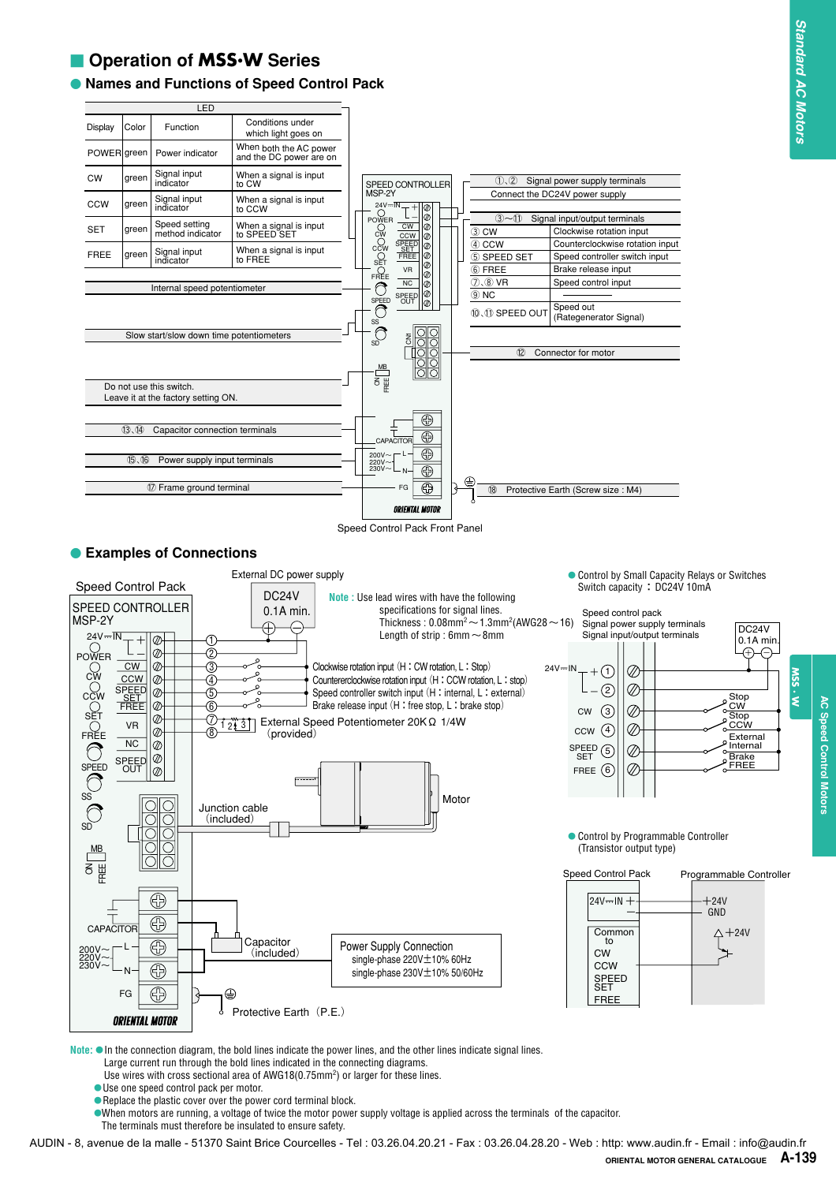#### - **Operation of MSS.W Series**

#### **Names and Functions of Speed Control Pack**



Speed Control Pack Front Panel

#### **Examples of Connections**



**Note:** ●In the connection diagram, the bold lines indicate the power lines, and the other lines indicate signal lines. Large current run through the bold lines indicated in the connecting diagrams.

- Use wires with cross sectional area of AWG18 $(0.75$ mm<sup>2</sup>) or larger for these lines.
- ●Use one speed control pack per motor.
- ●Replace the plastic cover over the power cord terminal block.
- ●When motors are running, a voltage of twice the motor power supply voltage is applied across the terminals of the capacitor.

The terminals must therefore be insulated to ensure safety.

AUDIN - 8, avenue de la malle - 51370 Saint Brice Courcelles - Tel : 03.26.04.20.21 - Fax : 03.26.04.28.20 - Web : http: www.audin.fr - Email : info@audin.fr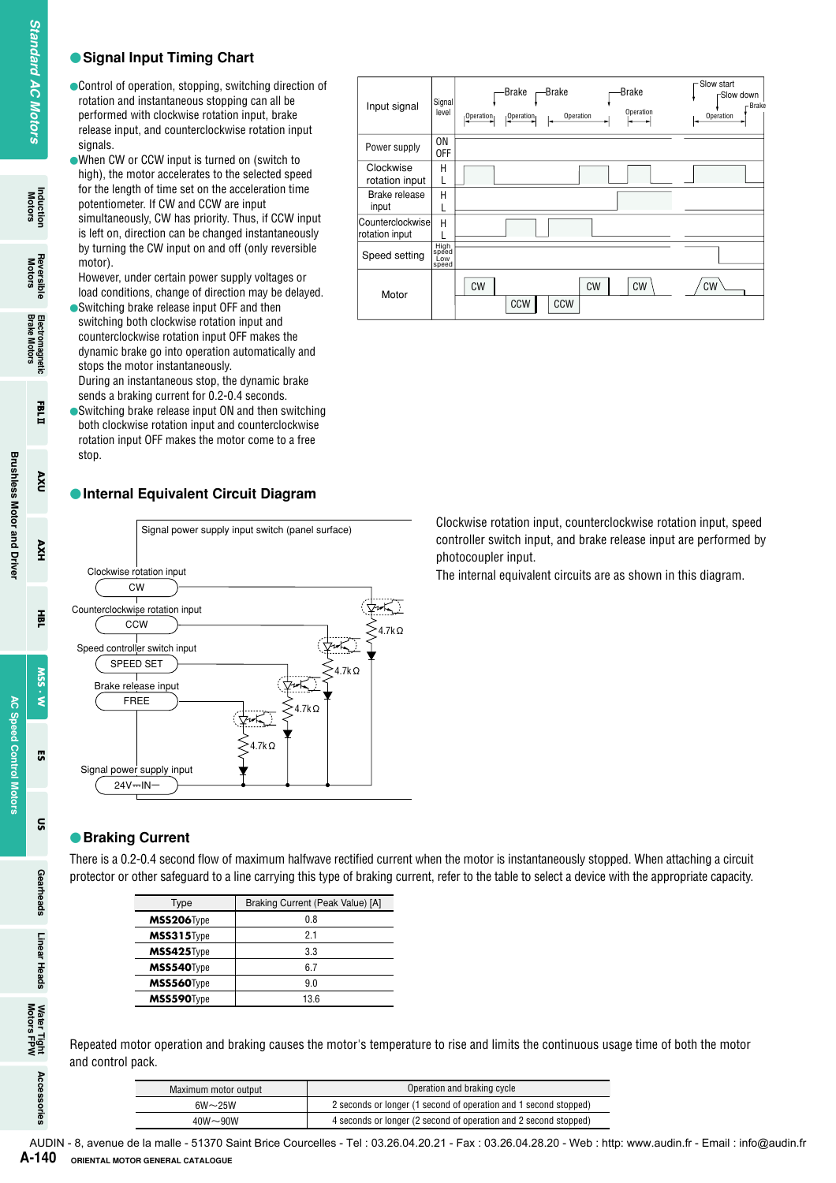#### ●**Signal Input Timing Chart**

## Induction<br>Motors

Earn

nxv

HXV

픑

SSM  $\dot{\tilde{\mathbf{z}}}$ 

**G** 

ទ្ធ

Accessories



When CW or CCW input is turned on (switch to high), the motor accelerates to the selected speed for the length of time set on the acceleration time potentiometer. If CW and CCW are input simultaneously, CW has priority. Thus, if CCW input is left on, direction can be changed instantaneously by turning the CW input on and off (only reversible motor).

However, under certain power supply voltages or load conditions, change of direction may be delayed.

- Switching brake release input OFF and then switching both clockwise rotation input and counterclockwise rotation input OFF makes the dynamic brake go into operation automatically and stops the motor instantaneously. During an instantaneous stop, the dynamic brake sends a braking current for 0.2-0.4 seconds.
- Switching brake release input ON and then switching both clockwise rotation input and counterclockwise rotation input OFF makes the motor come to a free stop.

#### ●**Internal Equivalent Circuit Diagram**



#### ●**Braking Current**

There is a 0.2-0.4 second flow of maximum halfwave rectified current when the motor is instantaneously stopped. When attaching a circuit protector or other safeguard to a line carrying this type of braking current, refer to the table to select a device with the appropriate capacity.

| Type       | Braking Current (Peak Value) [A] |
|------------|----------------------------------|
| MSS206Type | ი გ                              |
| MSS315Type | 21                               |
| MSS425Type | 3.3                              |
| MSS540Type | 67                               |
| MSS560Type | 9 N                              |
| MSS590Type | 136                              |

Repeated motor operation and braking causes the motor's temperature to rise and limits the continuous usage time of both the motor and control pack.

| Maximum motor output | Operation and braking cycle                                      |
|----------------------|------------------------------------------------------------------|
| $6W\sim25W$          | 2 seconds or longer (1 second of operation and 1 second stopped) |
| $40W - 90W$          | 4 seconds or longer (2 second of operation and 2 second stopped) |

| Input signal                       | Signal<br>level               | -Brake<br><b>Brake</b><br>-Brake<br>Operation<br>Operation<br>Operation<br>Operation <sub>1</sub> | ⊢Slow start<br><b>⊢Slow down</b><br>- Brake<br>Operation |
|------------------------------------|-------------------------------|---------------------------------------------------------------------------------------------------|----------------------------------------------------------|
| Power supply                       | 0 <sub>N</sub><br>0FF         |                                                                                                   |                                                          |
| Clockwise<br>rotation input        | Н                             |                                                                                                   |                                                          |
| Brake release<br>input             | Н                             |                                                                                                   |                                                          |
| Counterclockwise<br>rotation input | Н                             |                                                                                                   |                                                          |
| Speed setting                      | High<br>speed<br>Low<br>speed |                                                                                                   |                                                          |
| Motor                              |                               | <b>CW</b><br><b>CW</b><br><b>CW</b><br>CCW<br>CCW                                                 | CW                                                       |

Clockwise rotation input, counterclockwise rotation input, speed controller switch input, and brake release input are performed by photocoupler input.

The internal equivalent circuits are as shown in this diagram.

#### AUDIN - 8, avenue de la malle - 51370 Saint Brice Courcelles - Tel : 03.26.04.20.21 - Fax : 03.26.04.28.20 - Web : http: www.audin.fr - Email : info@audin.frA-140 **ORIENTAL MOTOR GENERAL CATALOGUE**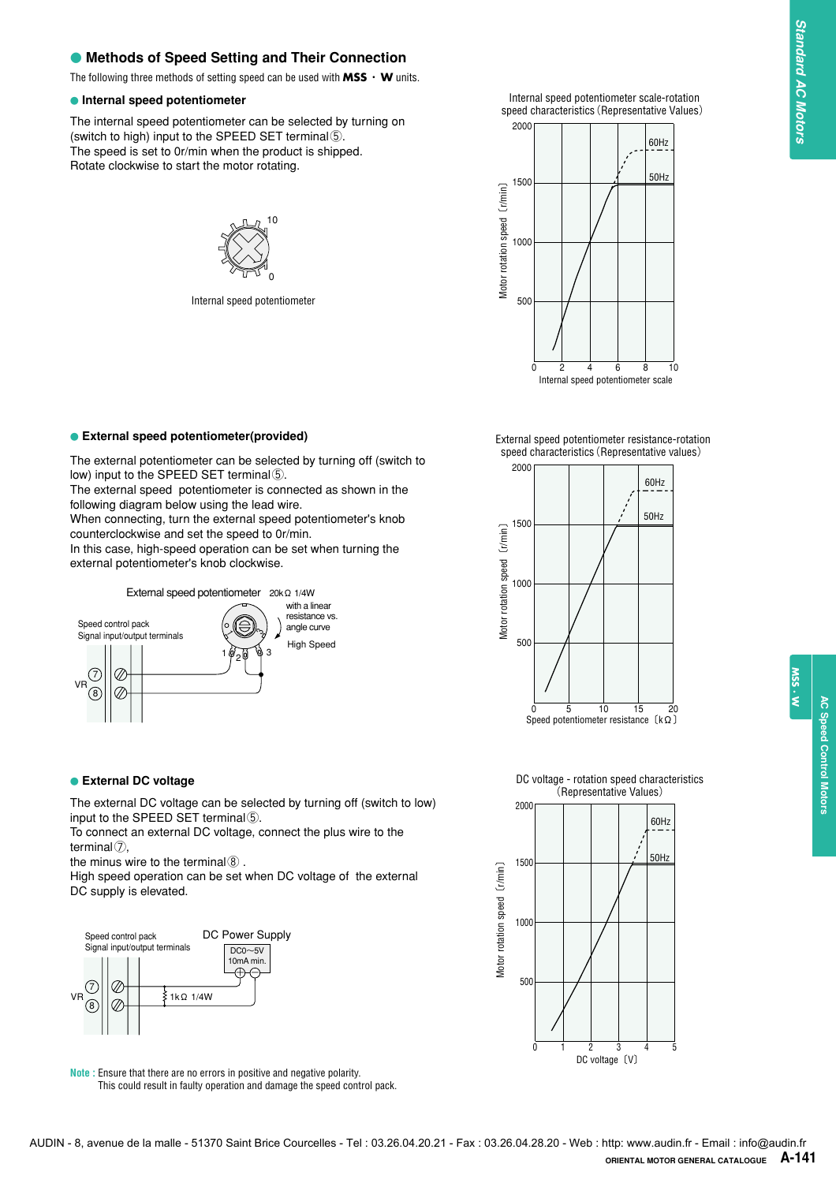#### ● Methods of Speed Setting and Their Connection

The following three methods of setting speed can be used with **MSS**・**W** units.

#### **Internal speed potentiometer**

The internal speed potentiometer can be selected by turning on (switch to high) input to the SPEED SET terminal⑤. The speed is set to 0r/min when the product is shipped. Rotate clockwise to start the motor rotating.



Internal speed potentiometer

The external potentiometer can be selected by turning off (switch to

The external speed potentiometer is connected as shown in the

When connecting, turn the external speed potentiometer's knob

In this case, high-speed operation can be set when turning the

1 0 2 0 9 3

′ო

External speed potentiometer 20kΩ 1/4W

1

**External speed potentiometer(provided)**

low) input to the SPEED SET terminal⑤.

external potentiometer's knob clockwise.

following diagram below using the lead wire.

counterclockwise and set the speed to 0r/min.



External speed potentiometer resistance-rotation speed characteristics(Representative values)



**External DC voltage**

Speed control pack Signal input/output terminals

 $\varnothing$ 

 $\varnothing$ 

(7 8 VR

The external DC voltage can be selected by turning off (switch to low) input to the SPEED SET terminal⑤.

High Speed

with a linear resistance vs. angle curve

To connect an external DC voltage, connect the plus wire to the terminal⑦,

the minus wire to the terminal  $@$ .

High speed operation can be set when DC voltage of the external DC supply is elevated.



**Note :** Ensure that there are no errors in positive and negative polarity. This could result in faulty operation and damage the speed control pack.

DC voltage - rotation speed characteristics (Representative Values)



W. SSN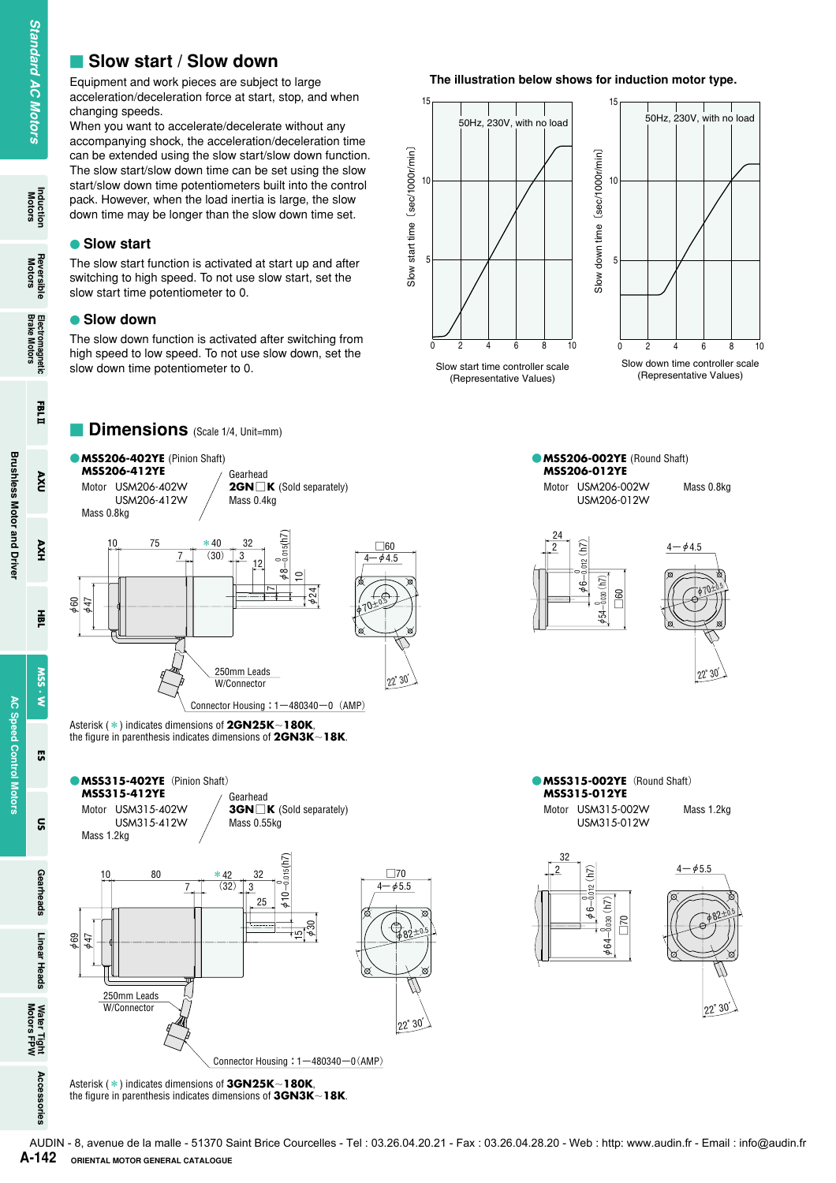#### **E** Slow start / Slow down

Equipment and work pieces are subject to large acceleration/deceleration force at start, stop, and when changing speeds.

When you want to accelerate/decelerate without any accompanying shock, the acceleration/deceleration time can be extended using the slow start/slow down function. The slow start/slow down time can be set using the slow start/slow down time potentiometers built into the control pack. However, when the load inertia is large, the slow down time may be longer than the slow down time set.

#### **Slow start**

The slow start function is activated at start up and after switching to high speed. To not use slow start, set the slow start time potentiometer to 0.

#### **Slow down**

The slow down function is activated after switching from high speed to low speed. To not use slow down, set the slow down time potentiometer to 0.

**Dimensions** (Scale 1/4, Unit=mm)

#### **The illustration below shows for induction motor type.**







Asterisk (\*) indicates dimensions of **3GN25K**-**180K**, the figure in parenthesis indicates dimensions of **3GN3K**-**18K**.

Induction<br>Motors

**Reversible**<br>Motors

nxv

HXV

픑

SSM  $\dot{\tilde{\mathbf{z}}}$ 

**G** 

 $\tilde{a}$ 

Gearheads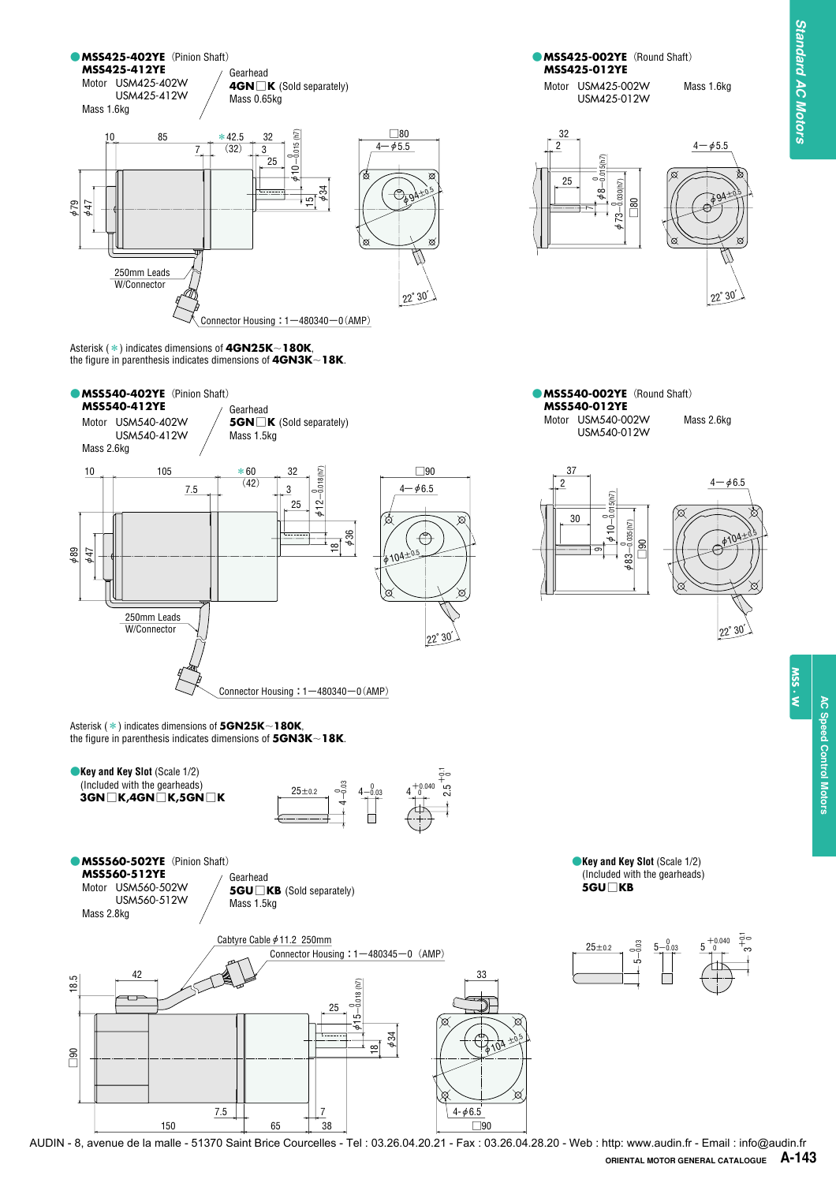

AUDIN - 8, avenue de la malle - 51370 Saint Brice Courcelles - Tel : 03.26.04.20.21 - Fax : 03.26.04.28.20 - Web : http: www.audin.fr - Email : info@audin.frORIENTAL MOTOR GENERAL CATALOGUE A-143

W.SS.W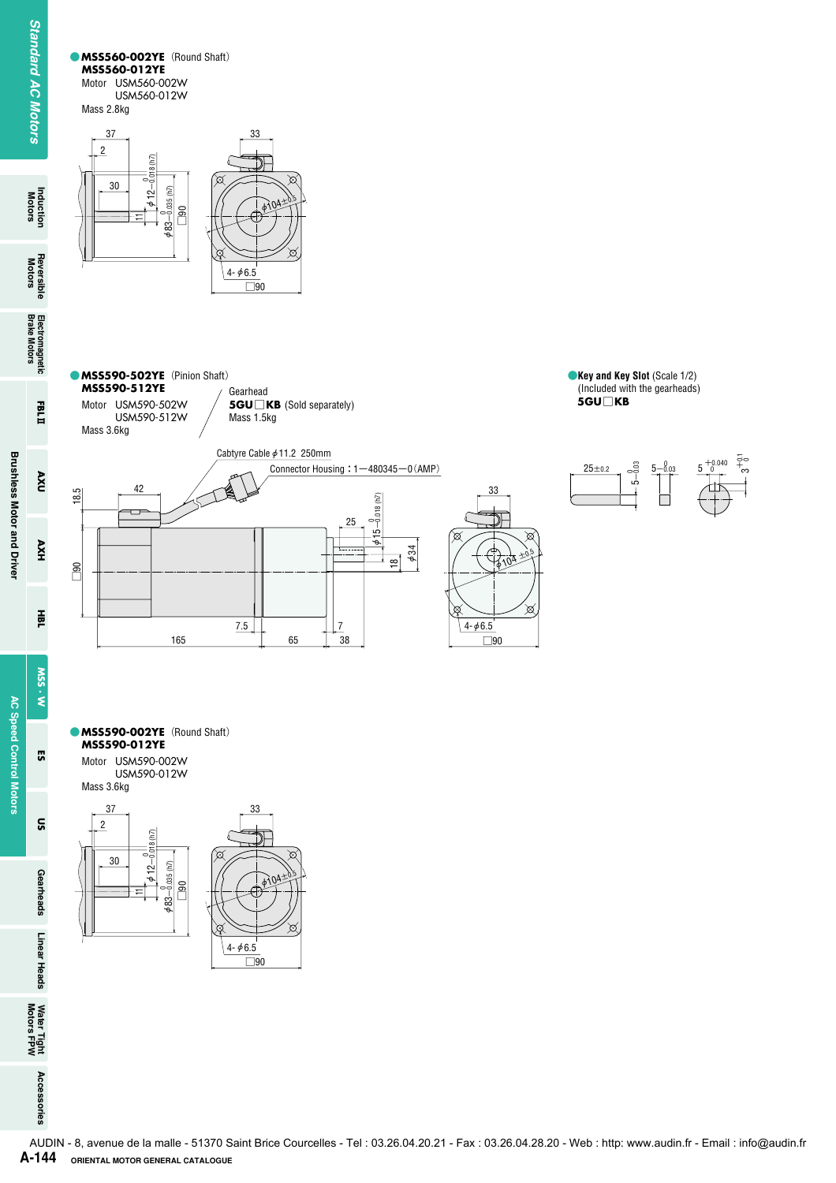Induction<br>Motors

Reversible Electromagnetic<br>Motors Brake Motors

EBLI

 $\mathbf{V}$ 

AXH

Fee<br>T

SSW  $\mathbf{M} \cdot \mathbf{s}$ 

<u>ទ</u>

Gearheads Linear Heads

Water Tight<br>Motors FPW

Accessories

 $\frac{8}{1}$ 

**Brushless Motor and Driver**

**Brushless Motor and Driver** 

**AC Speed Control Motors**

**AC Speed Control Motors** 53 **C**MSS560-002YE (Round Shaft) **MSS560-012YE** Motor USM560-002W USM560-012W Mass 2.8kg



**• MSS590-502YE** (Pinion Shaft) **MSS590-512YE** Gearhead Motor USM590-502W **5GU**□**KB** (Sold separately) Mass 1.5kg USM590-512W Mass 3.6kg Cabtyre Cable  $\phi$ 11.2 250mm Connector Housing:  $1-480345-0$  (AMP)  $4<sup>2</sup>$ 18.5 □90 18.5  $φ15-0.018$  (h7)

 $7.5$   $\begin{bmatrix} 2.5 \end{bmatrix}$ 

165 65 38



 $2104 + 105$ 

⊠

33

φ34  $\overline{8}$ 

25

□90  $4 - 46.5$ 



#### ●**MSS590-002YE**(Round Shaft) **MSS590-012YE**

Motor USM590-002W USM590-012W Mass 3.6kg

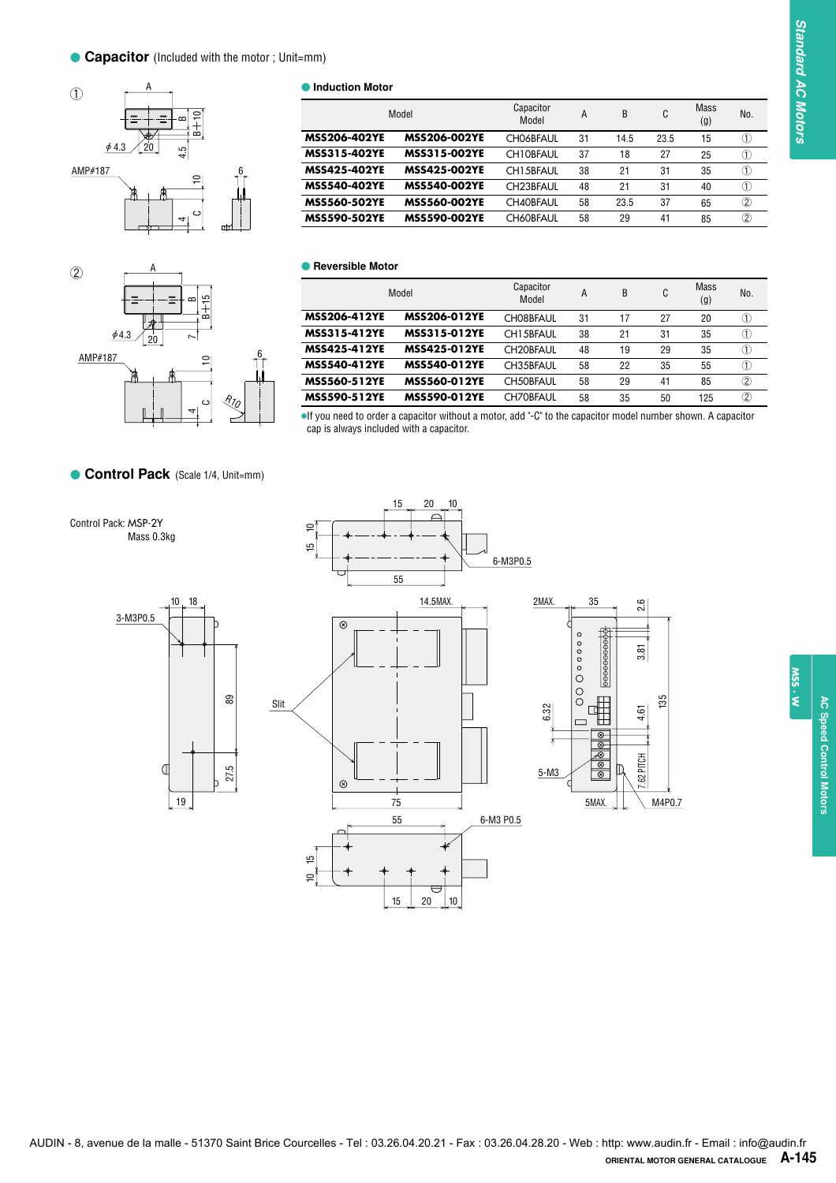



**Induction Motor** 

|                     | Model               | Capacitor<br>Model     | A  | B    | C    | <b>Mass</b><br>(g) | No.                                     |
|---------------------|---------------------|------------------------|----|------|------|--------------------|-----------------------------------------|
| <b>MSS206-402YE</b> | <b>MSS206-002YE</b> | <b>CHO6BFAUL</b>       | 31 | 14.5 | 23.5 | 15                 | Œ                                       |
| <b>MSS315-402YE</b> | <b>MSS315-002YE</b> | CH10BFAUL              | 37 | 18   | 27   | 25                 | $\circled{1}$                           |
| <b>MSS425-402YE</b> | <b>MSS425-002YE</b> | CH15BFAUL              | 38 | 21   | 31   | 35                 | Œ                                       |
| <b>MSS540-402YE</b> | <b>MSS540-002YE</b> | CH <sub>23</sub> BFAUL | 48 | 21   | 31   | 40                 | $\circled{1}$                           |
| <b>MSS560-502YE</b> | <b>MSS560-002YE</b> | <b>CH40BFAUL</b>       | 58 | 23.5 | 37   | 65                 | 2                                       |
| <b>MSS590-502YE</b> | <b>MSS590-002YE</b> | <b>CH60BFAUL</b>       | 58 | 29   | 41   | 85                 | $^{\rm \circled{\scriptscriptstyle 2}}$ |

#### **C** Reversible Motor

|                     | Model               | Capacitor<br>Model     | A  | B  | C  | <b>Mass</b><br>(g) | No.                                     |
|---------------------|---------------------|------------------------|----|----|----|--------------------|-----------------------------------------|
| <b>MSS206-412YE</b> | <b>MSS206-012YE</b> | CH08BFAUL              | 31 | 17 | 27 | 20                 | ①                                       |
| MSS315-412YE        | <b>MSS315-012YE</b> | CH15BFAUL              | 38 | 21 | 31 | 35                 | ⋒                                       |
| <b>MSS425-412YE</b> | <b>MSS425-012YE</b> | CH <sub>20</sub> BFAUL | 48 | 19 | 29 | 35                 | ①                                       |
| <b>MSS540-412YE</b> | <b>MSS540-012YE</b> | CH35BFAUL              | 58 | 22 | 35 | 55                 | ①                                       |
| <b>MSS560-512YE</b> | <b>MSS560-012YE</b> | CH50BFAUL              | 58 | 29 | 41 | 85                 | $^{\rm \circled{\scriptscriptstyle 2}}$ |
| <b>MSS590-512YE</b> | <b>MSS590-012YE</b> | <b>CH70BFAUL</b>       | 58 | 35 | 50 | 125                | $^{\rm \circled{\scriptscriptstyle 2}}$ |

●If you need to order a capacitor without a motor, add "-C" to the capacitor model number shown. A capacitor cap is always included with a capacitor.

**Control Pack** (Scale 1/4, Unit=mm)





15 20

10

**MSS . W**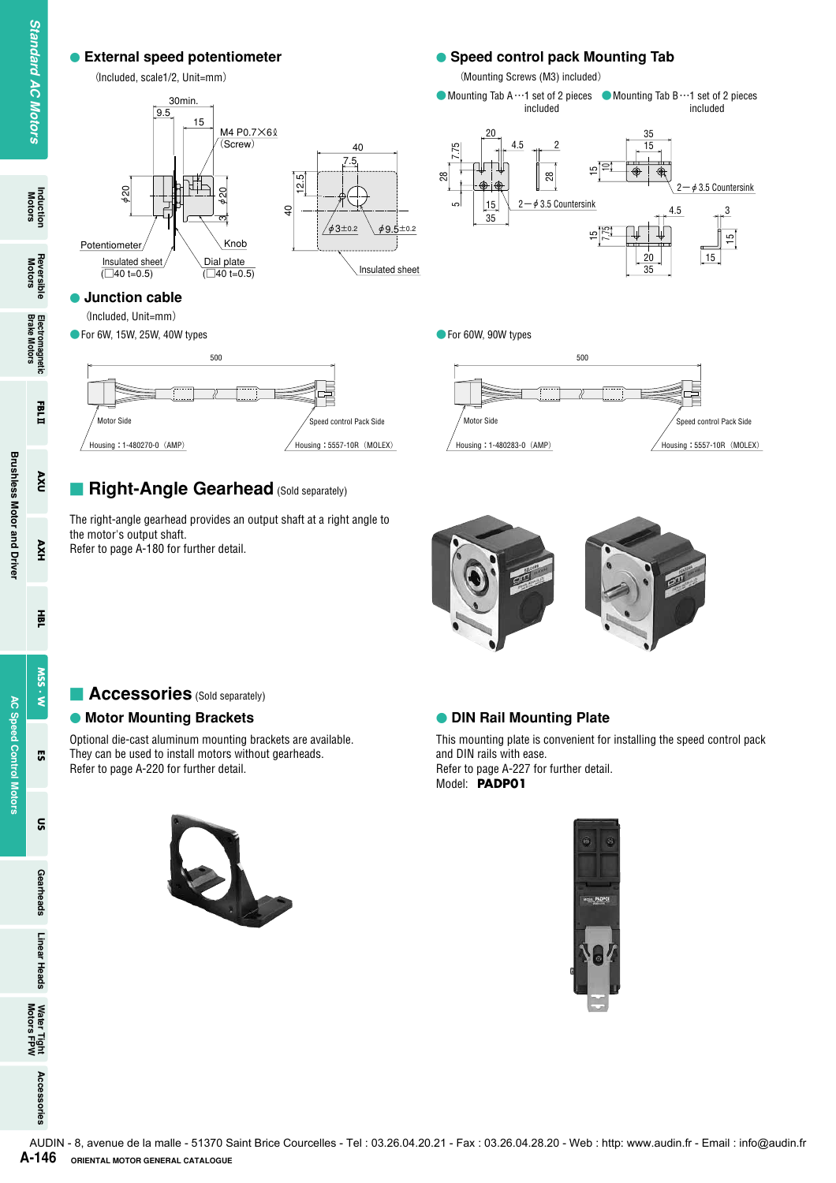# Material speed potential<br>
(Included, scale 1/2, Unterminal<br>
(Included, scale 1/2, Unterminal<br>
(Included, scale 1/2, Unterminal<br>
Included, Scale 1/2, Unterminal<br>
(Included, University of Norm 1, 15<br>
Protocology (Included, 15 (Screw) 30min. M4 P0.7×60 (Included, scale1/2, Unit=mm)

ო

φ20

 $\frac{\text{insulated sheet}}{\text{(}\square 40 \text{ t=0.5)}}$   $\begin{array}{c}\text{Dial plate}\\ \text{(}\square 40 \text{ t=0.5)}\end{array}$ 

Potentiometer

 $\tilde{p}$ 

 **Junction cable** (Included, Unit=mm) ● For 6W, 15W, 25W, 40W types

Knob Dial plate<br>( $\sqrt{40}$  t=0.5)

 $40$ 7.5

Insulated sheet

 $\frac{43\pm0.2}{9.5\pm0.2}$ 

12.5

40

#### **External speed potentiometer** *Speed control pack Mounting Tab*

(Mounting Screws (M3) included)



● For 60W, 90W types



#### **Right-Angle Gearhead** (Sold separately)

500

The right-angle gearhead provides an output shaft at a right angle to the motor's output shaft.

Motor Side Speed control Pack Side  $\big/$  Housing:1-480270-0 (AMP)  $\big/$  Housing:5557-10R (MOLEX)

Refer to page A-180 for further detail.



#### **Accessories** (Sold separately)

#### **• Motor Mounting Brackets <b>COUNTER 19** and Mounting Plate

Optional die-cast aluminum mounting brackets are available. They can be used to install motors without gearheads. Refer to page A-220 for further detail.

This mounting plate is convenient for installing the speed control pack and DIN rails with ease.

Refer to page A-227 for further detail. Model: **PADP01**



**Standard AC Motors** 

FBLI

 $\mathbf{X}$ 

AXH

픑

SSW  $\ddot{\ddot{\xi}}$ 

G3

ទ្ល